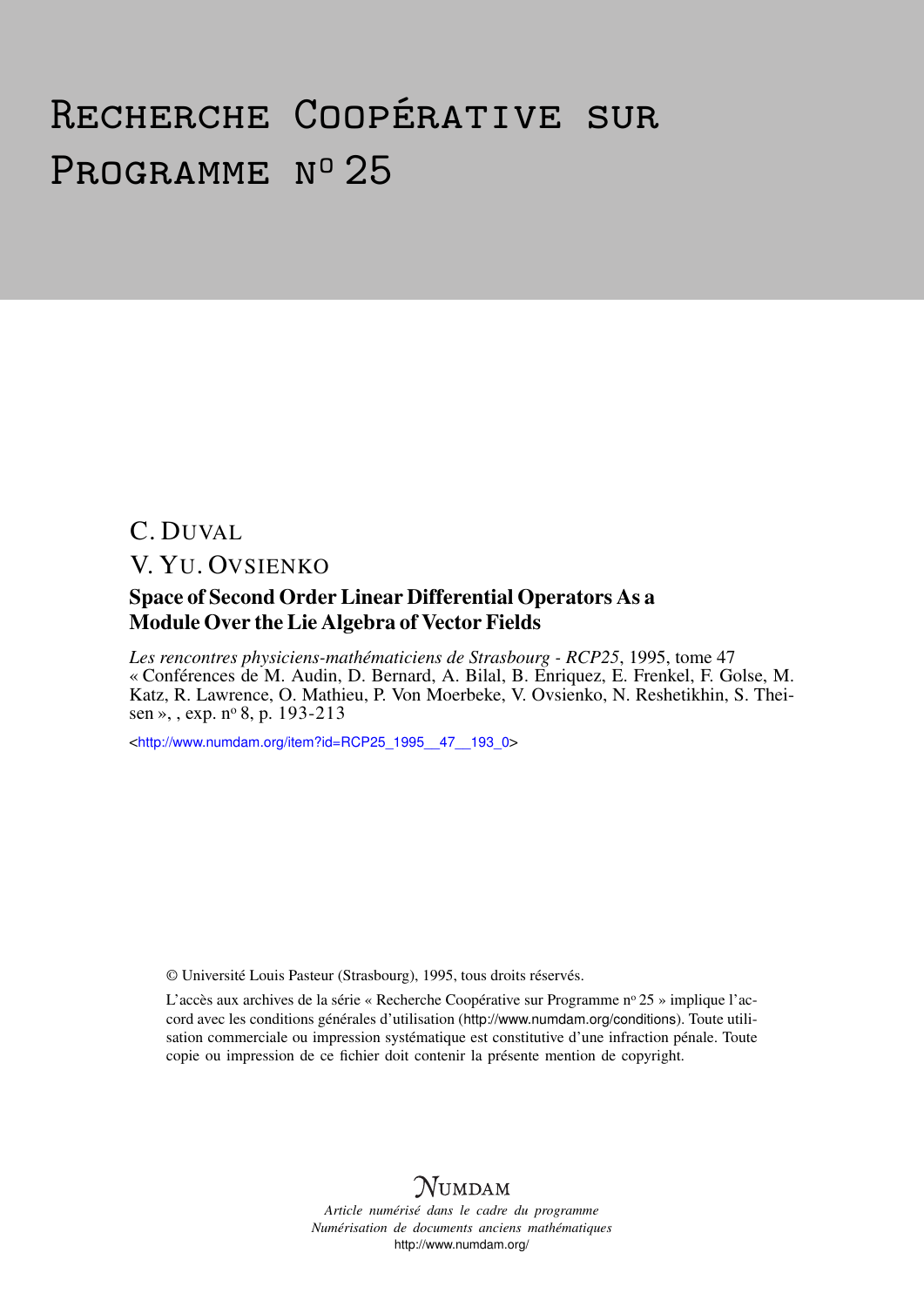# Recherche Coopérative sur PROGRAMME Nº 25

## C. DUVAL V. YU. OVSIENKO

#### Space of Second Order Linear Differential Operators As a Module Over the Lie Algebra of Vector Fields

*Les rencontres physiciens-mathématiciens de Strasbourg - RCP25*, 1995, tome 47 « Conférences de M. Audin, D. Bernard, A. Bilal, B. Enriquez, E. Frenkel, F. Golse, M. Katz, R. Lawrence, O. Mathieu, P. Von Moerbeke, V. Ovsienko, N. Reshetikhin, S. Theisen », , exp. nº 8, p. 193-213

<[http://www.numdam.org/item?id=RCP25\\_1995\\_\\_47\\_\\_193\\_0](http://www.numdam.org/item?id=RCP25_1995__47__193_0)>

© Université Louis Pasteur (Strasbourg), 1995, tous droits réservés.

L'accès aux archives de la série « Recherche Coopérative sur Programme n° 25 » implique l'accord avec les conditions générales d'utilisation (<http://www.numdam.org/conditions>). Toute utilisation commerciale ou impression systématique est constitutive d'une infraction pénale. Toute copie ou impression de ce fichier doit contenir la présente mention de copyright.



*Article numérisé dans le cadre du programme Numérisation de documents anciens mathématiques* <http://www.numdam.org/>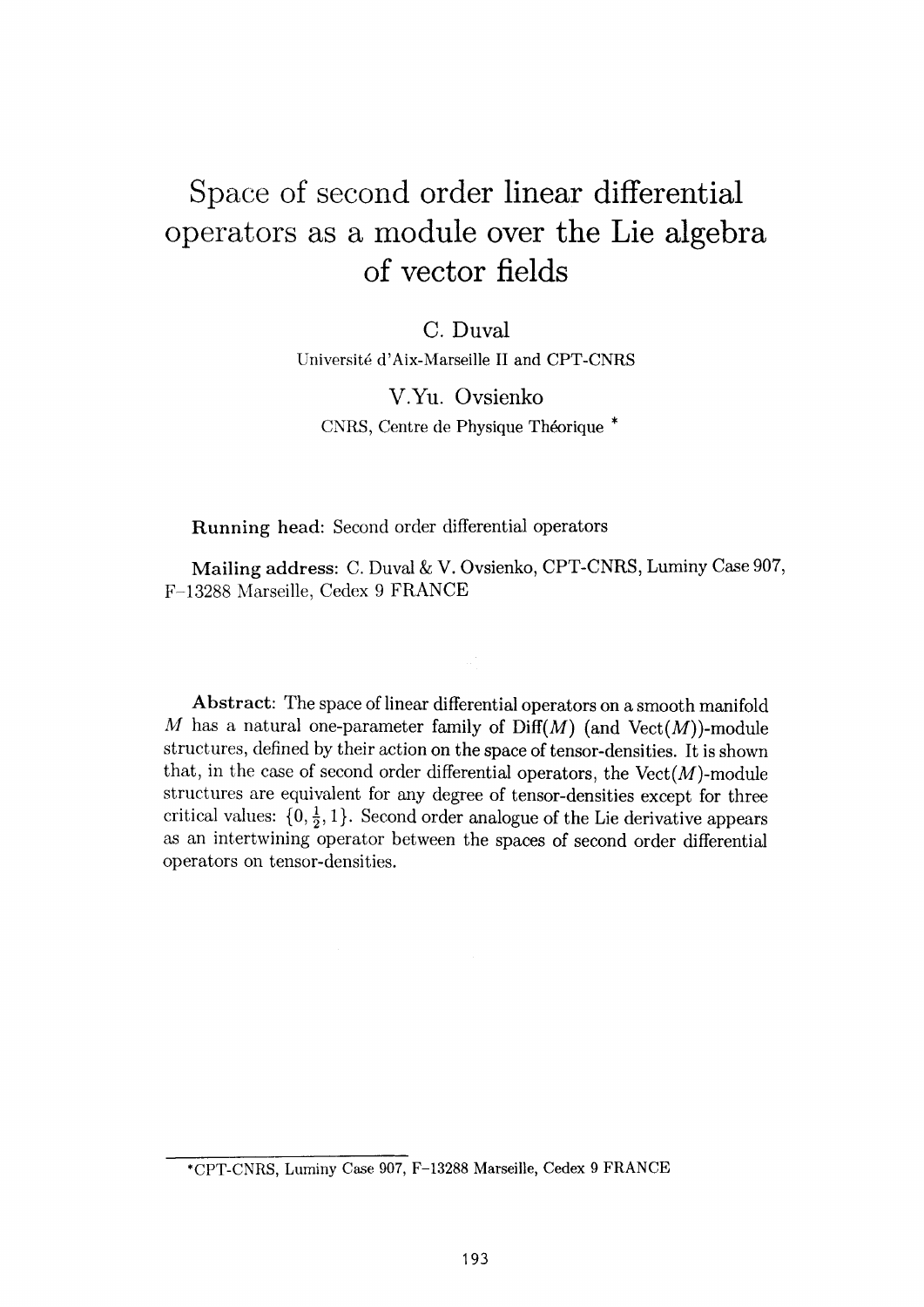## Space of second order linear differential operators as a module over the Lie algebra of vector fields

C. Duval

Université d'Aix-Marseille II and CPT-CNRS

V.Yu. Ovsienko CNRS, Centre de Physique Théorique \*

**Running head:** Second order differential operators

**Mailing address:** C. Duval & V. Ovsienko, CPT-CNRS, Luminy Case 907, F-13288 Marseille, Cedex 9 FRANCE

**Abstract:** The space of linear differential operators on a smooth manifold *M* has a natural one-parameter family of  $\text{Diff}(M)$  (and  $\text{Vect}(M)$ )-module structures, defined by their action on the space of tensor-densities. It is shown that, in the case of second order differential operators, the  $Vect(M)$ -module structures are equivalent for any degree of tensor-densities except for three critical values:  $\{0, \frac{1}{2}, 1\}$ . Second order analogue of the Lie derivative appears as an intertwining operator between the spaces of second order differential operators on tensor-densities.

<sup>\*</sup>CPT-CNRS, Luminy Case 907, F-13288 Marseille, Cedex 9 FRANCE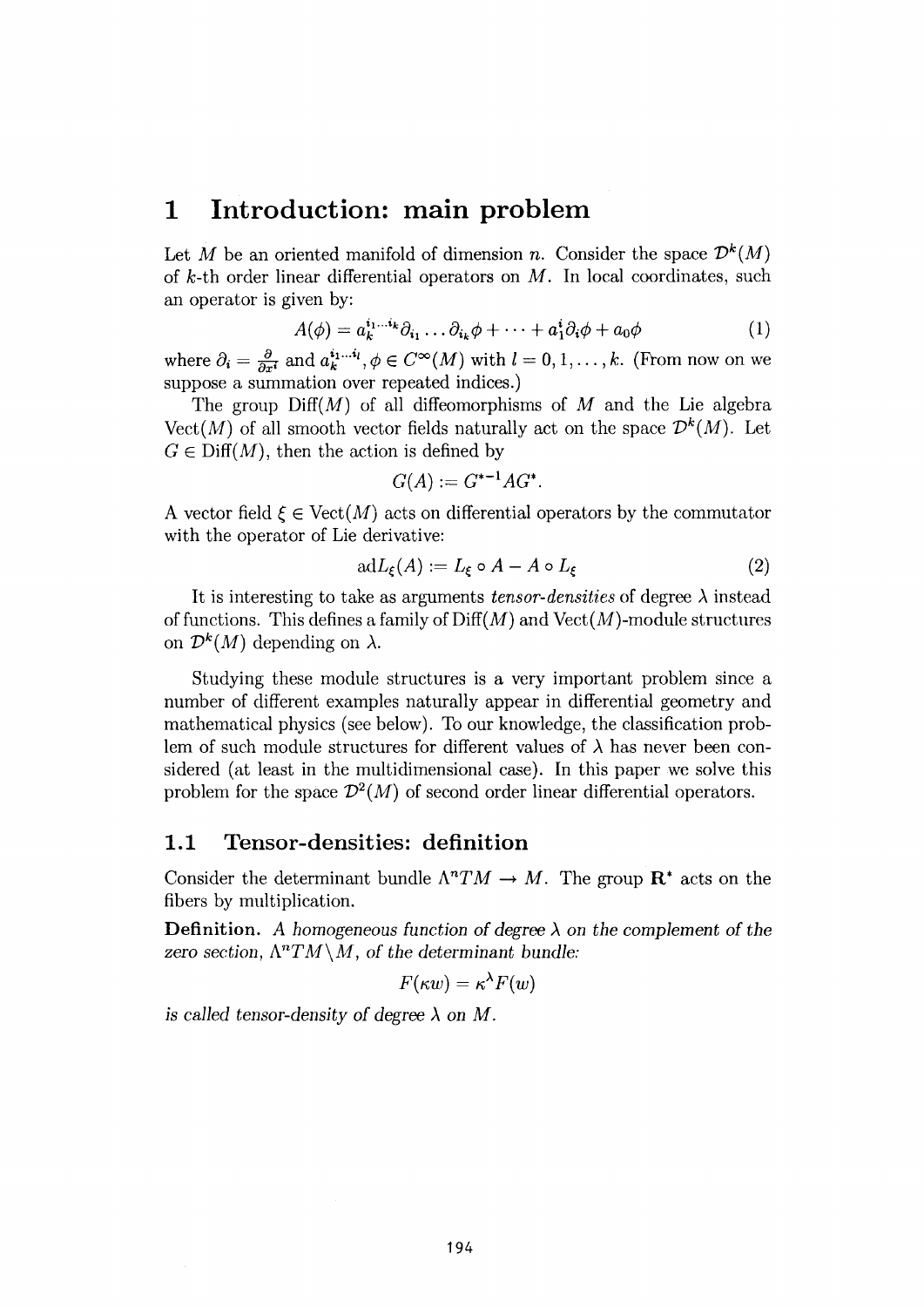## **1 Introduction: main problem**

Let *M* be an oriented manifold of dimension *n*. Consider the space  $\mathcal{D}^k(M)$ of  $k$ -th order linear differential operators on  $M$ . In local coordinates, such an operator is given by:

$$
A(\phi) = a_k^{i_1...i_k} \partial_{i_1} \dots \partial_{i_k} \phi + \dots + a_1^i \partial_i \phi + a_0 \phi \tag{1}
$$

where  $\partial_i = \frac{\partial}{\partial x^i}$  and  $a_k^{i_1...i_l}, \phi \in C^{\infty}(M)$  with  $l = 0,1,\ldots, k$ . (From now on we suppose a summation over repeated indices.)

The group Diff(M) of all diffeomorphisms of *M* and the Lie algebra Vect(M) of all smooth vector fields naturally act on the space  $\mathcal{D}^k(M)$ . Let  $G \in \text{Diff}(M)$ , then the action is defined by

$$
G(A):=G^{\ast-1}AG^{\ast}.
$$

A vector field  $\xi \in \text{Vect}(M)$  acts on differential operators by the commutator with the operator of Lie derivative:

$$
adL_{\xi}(A) := L_{\xi} \circ A - A \circ L_{\xi} \tag{2}
$$

It is interesting to take as arguments *tensor-densities* of degree  $\lambda$  instead of functions. This defines a family of  $\text{Diff}(M)$  and  $\text{Vect}(M)$ -module structures on  $\mathcal{D}^k(M)$  depending on  $\lambda$ .

Studying these module structures is a very important problem since a number of different examples naturally appear in differential geometry and mathematical physics (see below). To our knowledge, the classification problem of such module structures for different values of  $\lambda$  has never been considered (at least in the multidimensional case). In this paper we solve this problem for the space  $\mathcal{D}^2(M)$  of second order linear differential operators.

#### **1.1 Tensor-densities: definition**

Consider the determinant bundle  $\Lambda^n T M \to M$ . The group  $\mathbb{R}^*$  acts on the fibers by multiplication.

**Definition.** A homogeneous function of degree  $\lambda$  on the complement of the zero section,  $\Lambda^n TM \setminus M$ , of the determinant bundle:

$$
F(\kappa w) = \kappa^{\lambda} F(w)
$$

*is called tensor-density of degree*  $\lambda$  *on M.*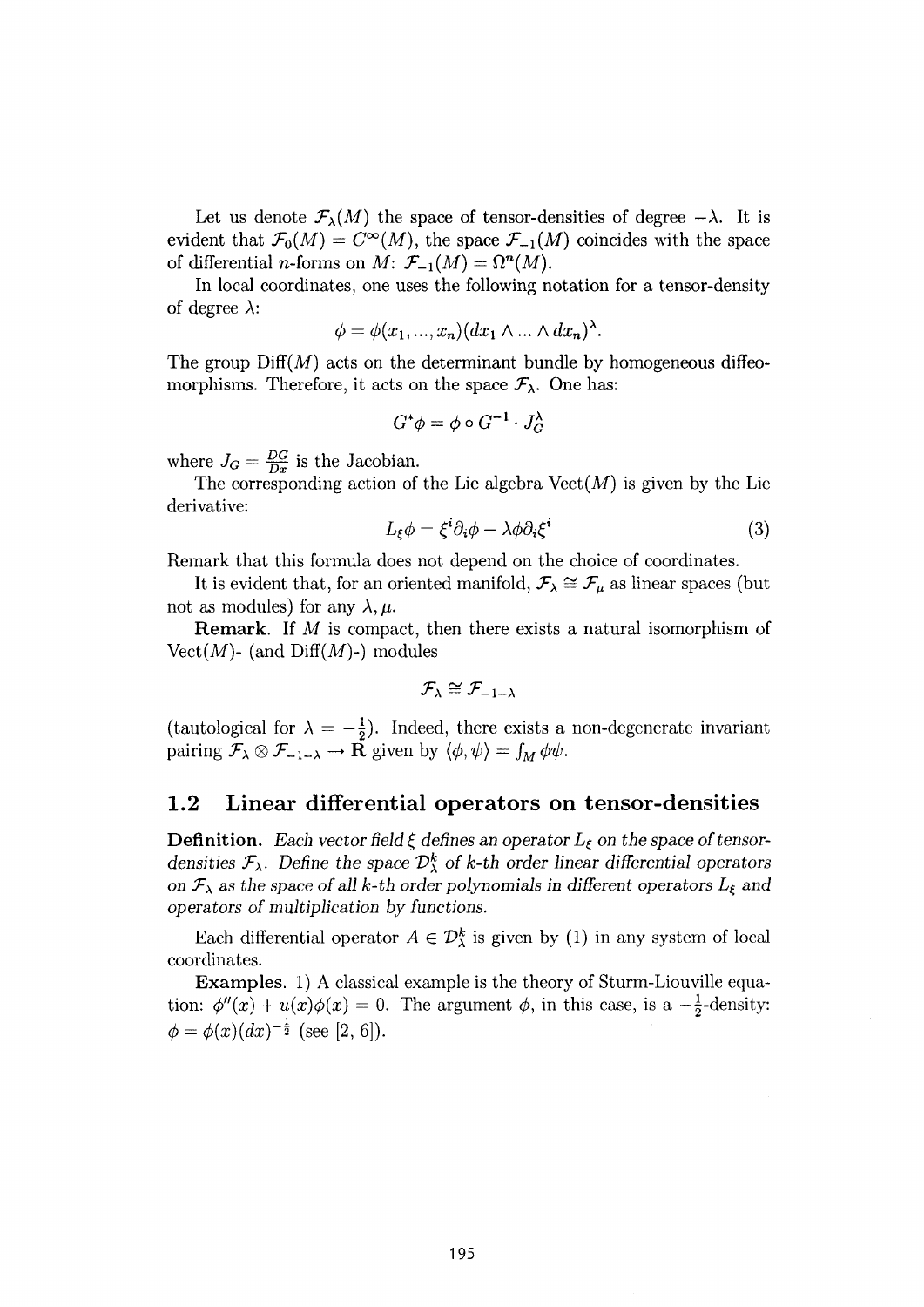Let us denote  $\mathcal{F}_{\lambda}(M)$  the space of tensor-densities of degree  $-\lambda$ . It is evident that  $\mathcal{F}_0(M) = C^{\infty}(M)$ , the space  $\mathcal{F}_{-1}(M)$  coincides with the space of differential *n*-forms on *M*:  $\mathcal{F}_{-1}(M) = \Omega^n(M)$ .

In local coordinates, one uses the following notation for a tensor-density of degree  $\lambda$ :

$$
\phi = \phi(x_1, ..., x_n) (dx_1 \wedge ... \wedge dx_n)^{\lambda}.
$$

The group  $\text{Diff}(M)$  acts on the determinant bundle by homogeneous diffeomorphisms. Therefore, it acts on the space  $\mathcal{F}_{\lambda}$ . One has:

$$
G^*\phi = \phi \circ G^{-1} \cdot J_G^{\lambda}
$$

where  $J_G = \frac{DG}{Dx}$  is the Jacobian.

The corresponding action of the Lie algebra  $Vect(M)$  is given by the Lie derivative:

$$
L_{\xi}\phi = \xi^{i}\partial_{i}\phi - \lambda\phi\partial_{i}\xi^{i}
$$
 (3)

Remark that this formula does not depend on the choice of coordinates.

It is evident that, for an oriented manifold,  $\mathcal{F}_{\lambda} \cong \mathcal{F}_{\mu}$  as linear spaces (but not as modules) for any  $\lambda, \mu$ .

**Remark.** If *M* is compact, then there exists a natural isomorphism of Vect $(M)$ - (and Diff $(M)$ -) modules

$$
\mathcal{F}_{\lambda}\cong\mathcal{F}_{-1-\lambda}
$$

(tautological for  $\lambda = -\frac{1}{2}$ ). Indeed, there exists a non-degenerate invariant pairing  $\mathcal{F}_{\lambda} \otimes \mathcal{F}_{-1-\lambda} \to \mathbf{R}$  given by  $\langle \phi, \psi \rangle = \int_M \phi \psi$ .

#### **1.2 Linear differential operators on tensor-densities**

**Definition.** Each vector field  $\xi$  defines an operator  $L_{\xi}$  on the space of tensor*densities*  $\mathcal{F}_{\lambda}$ . Define the space  $\mathcal{D}_{\lambda}^{k}$  of k-th order linear differential operators *on*  $\mathcal{F}_{\lambda}$  *as the space of all k-th order polynomials in different operators*  $L_{\xi}$  *and operators of multiplication by functions.* 

Each differential operator  $A \in \mathcal{D}_{\lambda}^{k}$  is given by (1) in any system of local coordinates.

**Examples.** 1) A classical example is the theory of Sturm-Liouville equation:  $\phi''(x) + u(x)\phi(x) = 0$ . The argument  $\phi$ , in this case, is a  $-\frac{1}{2}$ -density:  $\phi = \phi(x) (dx)^{-\frac{1}{2}}$  (see [2, 6]).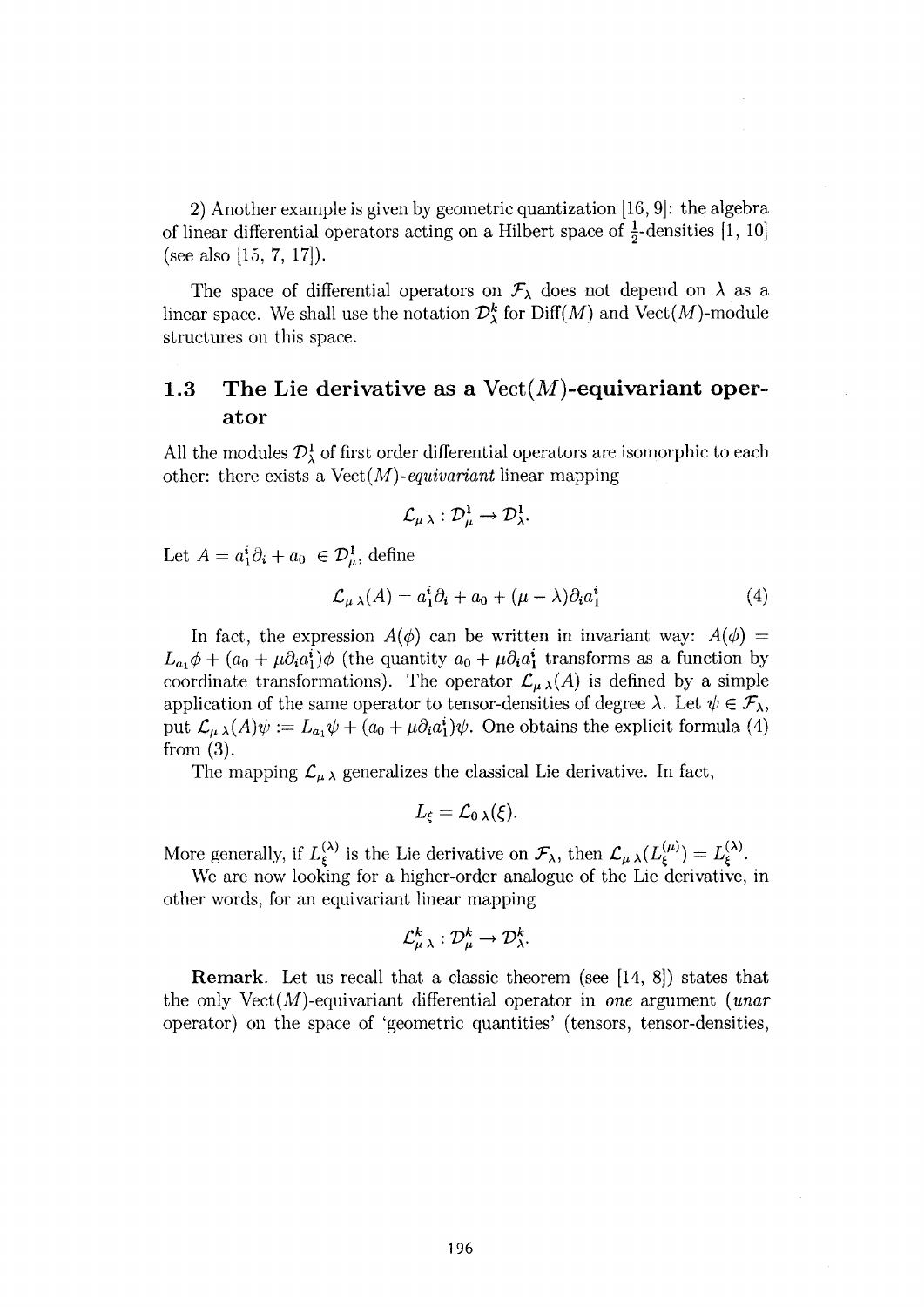2) Another example is given by geometric quantization [16, 9]: the algebra of linear differential operators acting on a Hilbert space of  $\frac{1}{2}$ -densities [1, 10] (see also [15, 7, 17]).

The space of differential operators on  $\mathcal{F}_{\lambda}$  does not depend on  $\lambda$  as a linear space. We shall use the notation  $\mathcal{D}_{\lambda}^{k}$  for  $\text{Diff}(M)$  and  $\text{Vect}(M)$ -module structures on this space.

#### **1.3 The Lie derivative as a** Vect(*M***)-equivariant oper» ator**

All the modules  $\mathcal{D}^1_\lambda$  of first order differential operators are isomorphic to each other: there exists a Vect(M) -*equivanant* linear mapping

$$
\mathcal{L}_{\mu\,\lambda}:\mathcal{D}_{\mu}^1\to\mathcal{D}_{\lambda}^1.
$$

Let  $A = a_1^i \partial_i + a_0 \in \mathcal{D}_\mu^1$ , define

$$
\mathcal{L}_{\mu\lambda}(A) = a_1^i \partial_i + a_0 + (\mu - \lambda) \partial_i a_1^i \tag{4}
$$

In fact, the expression  $A(\phi)$  can be written in invariant way:  $A(\phi)$  =  $L_{a_1}\phi + (a_0 + \mu \partial_i a_1^i)\phi$  (the quantity  $a_0 + \mu \partial_i a_1^i$  transforms as a function by coordinate transformations). The operator  $\mathcal{L}_{\mu\lambda}(A)$  is defined by a simple application of the same operator to tensor-densities of degree  $\lambda$ . Let  $\psi \in \mathcal{F}_{\lambda}$ , put  $\mathcal{L}_{\mu\lambda}(A)\psi := L_{a_1}\psi + (a_0 + \mu \partial_i a_1^i)\psi$ . One obtains the explicit formula (4) from (3).

The mapping  $\mathcal{L}_{\mu\lambda}$  generalizes the classical Lie derivative. In fact,

$$
L_{\xi}=\mathcal{L}_{0\,\lambda}(\xi).
$$

More generally, if  $L_{\epsilon}^{(\lambda)}$  is the Lie derivative on  $\mathcal{F}_{\lambda}$ , then  $\mathcal{L}_{\mu\lambda}(L_{\epsilon}^{(\mu)}) = L_{\epsilon}^{(\lambda)}$ .

We are now looking for a higher-order analogue of the Lie derivative, in other words, for an equivariant linear mapping

$$
\mathcal{L}^k_{\mu\;\lambda}:\mathcal{D}^k_\mu\rightarrow \mathcal{D}^k_{\lambda}.
$$

**Remark.** Let us recall that a classic theorem (see [14, 8]) states that the only Vect(M)-equivariant differential operator in *one* argument *(unar*  operator) on the space of 'geometric quantities' (tensors, tensor-densities,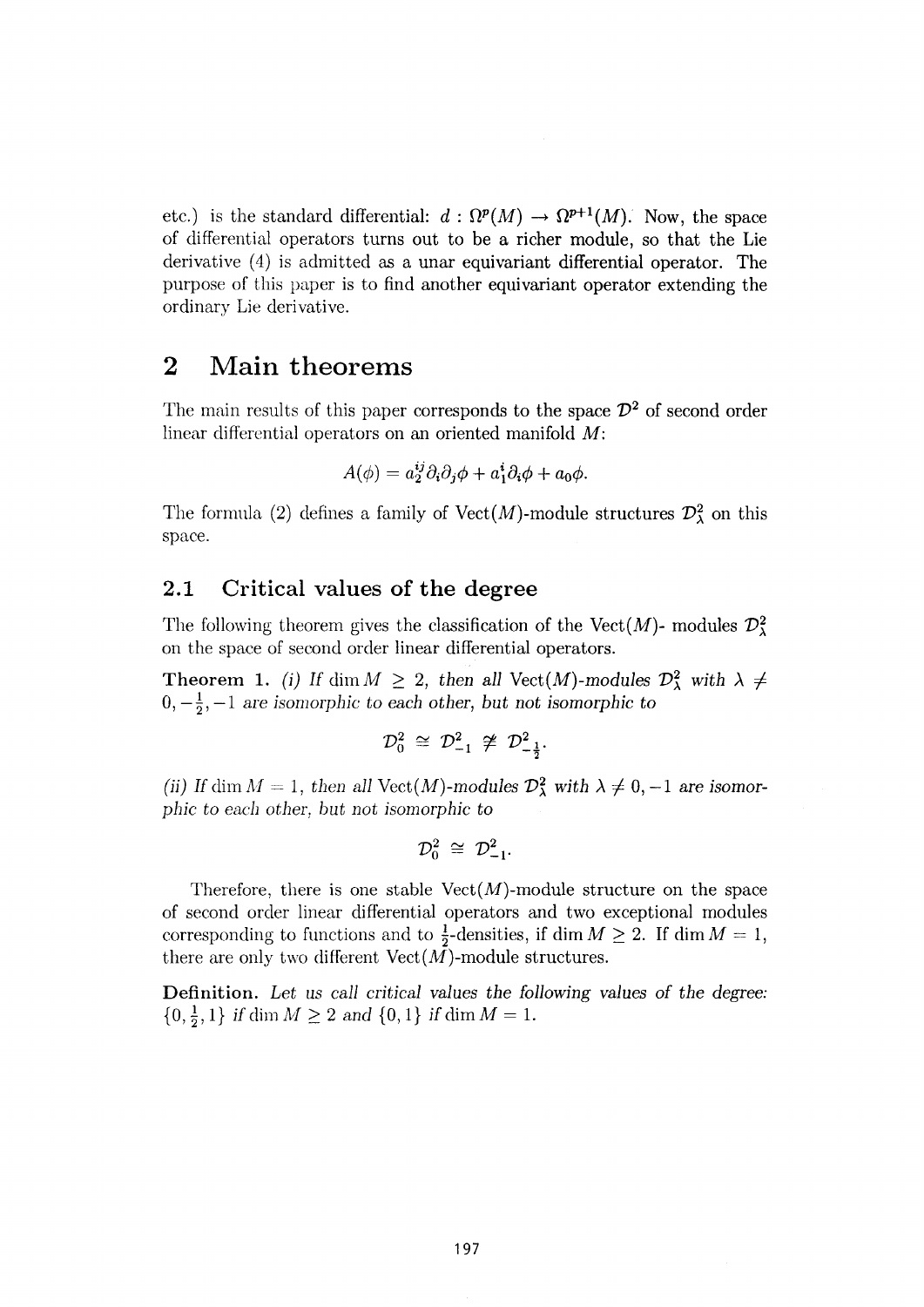etc.) is the standard differential:  $d : \Omega^p(M) \to \Omega^{p+1}(M)$ . Now, the space of differential operators turns out to be a richer module, so that the Lie derivative **(4)** is admitted as a unar equivariant differential operator. The purpose of this paper is to find another equivariant operator extending the ordinary Lie derivative.

#### **2 Main theorems**

The main results of this paper corresponds to the space  $\mathcal{D}^2$  of second order linear differential operators on an oriented manifold *M:* 

$$
A(\phi) = a_2^{ij} \partial_i \partial_j \phi + a_1^i \partial_i \phi + a_0 \phi.
$$

The formula (2) defines a family of  $Vect(M)$ -module structures  $\mathcal{D}^2_\lambda$  on this space.

#### **2.1 Critical values of the degree**

The following theorem gives the classification of the Vect(M)- modules  $\mathcal{D}_1^2$ on the space of second order linear differential operators.

**Theorem** 1. *(i)* If dim  $M \geq 2$ , then all Vect(M)-modules  $\mathcal{D}^2_{\lambda}$  with  $\lambda \neq 0$  $0, -\frac{1}{2}, -1$  are isomorphic to each other, but not isomorphic to

$$
\mathcal{D}_0^2 \,\cong\, \mathcal{D}_{-1}^2 \,\not\cong\, \mathcal{D}_{-\frac{1}{2}}^2.
$$

*(ii)* If dim  $M = 1$ , then all Vect $(M)$ -modules  $\mathcal{D}^2_{\lambda}$  with  $\lambda \neq 0, -1$  are isomor*phic to each other, but not isomorphic to* 

$$
\mathcal{D}_0^2 \cong \mathcal{D}_{-1}^2.
$$

Therefore, there is one stable  $Vect(M)$ -module structure on the space of second order linear differential operators and two exceptional modules corresponding to functions and to  $\frac{1}{2}$ -densities, if dim  $M \ge 2$ . If dim  $M = 1$ , there are only two different  $Vect(M)$ -module structures.

**Definition.** *Let us call critical values the following values of the degree:*   $\{0,\frac{1}{2},1\}$  *if* dim  $M \geq 2$  and  $\{0,1\}$  *if* dim  $M = 1$ .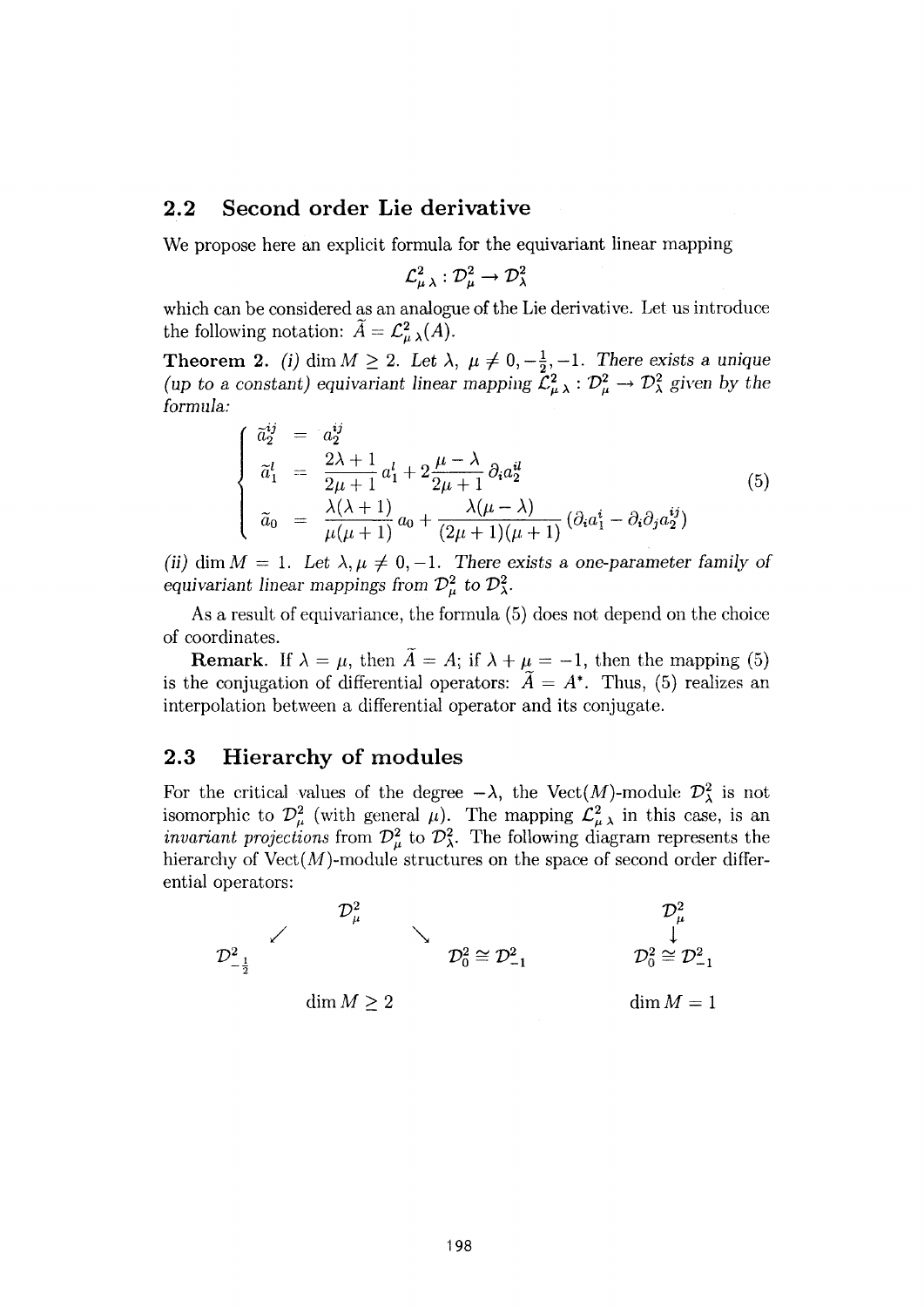#### **2.2 Second order Lie derivative**

**We propose here an explicit formula for the equivariant linear mapping** 

$$
\mathcal L^2_{\mu\,\lambda}:\mathcal D^2_\mu\rightarrow\mathcal D^2_\lambda
$$

which can be considered as an analogue of the Lie derivative. Let us introduce the following notation:  $\hat{A} = \mathcal{L}_{\mu}^2(A)$ .

**Theorem 2.** *(i)* dim  $M \ge 2$ . Let  $\lambda$ ,  $\mu \ne 0, -\frac{1}{2}, -1$ . There exists a unique (*up to a constant*) equivariant linear mapping  $\mathcal{L}^2_{\mu\lambda}$  :  $\mathcal{D}^2_{\mu} \to \mathcal{D}^2_{\lambda}$  given by the *formula:* 

$$
\begin{cases}\n\tilde{a}_{2}^{ij} = a_{2}^{ij} \\
\tilde{a}_{1}^{l} = \frac{2\lambda + 1}{2\mu + 1} a_{1}^{l} + 2\frac{\mu - \lambda}{2\mu + 1} \partial_{i} a_{2}^{il} \\
\tilde{a}_{0} = \frac{\lambda(\lambda + 1)}{\mu(\mu + 1)} a_{0} + \frac{\lambda(\mu - \lambda)}{(2\mu + 1)(\mu + 1)} (\partial_{i} a_{1}^{i} - \partial_{i} \partial_{j} a_{2}^{ij})\n\end{cases}
$$
\n(5)

(ii) dim  $M = 1$ . Let  $\lambda, \mu \neq 0, -1$ . There exists a one-parameter family of *equivariant linear mappings from*  $\mathcal{D}^2_\mu$  *to*  $\mathcal{D}^2_\lambda$ *.* 

As a result of equivariance, the formula (5) does not depend on the choice of coordinates.

**Remark.** If  $\lambda = \mu$ , then  $\tilde{A} = A$ ; if  $\lambda + \mu = -1$ , then the mapping (5) is the conjugation of differential operators:  $\vec{A} = A^*$ . Thus, (5) realizes an interpolation between a differential operator and its conjugate.

#### **2.3 Hierarchy of modules**

For the critical values of the degree  $-\lambda$ , the Vect(M)-module  $\mathcal{D}_{\lambda}^{2}$  is not isomorphic to  $\mathcal{D}^2_\mu$  (with general  $\mu$ ). The mapping  $\mathcal{L}^2_{\mu\lambda}$  in this case, is an *invariant projections* from  $\mathcal{D}^2_\mu$  to  $\mathcal{D}^2_\lambda$ . The following diagram represents the hierarchy of  $Vect(M)$ -module structures on the space of second order differential operators:

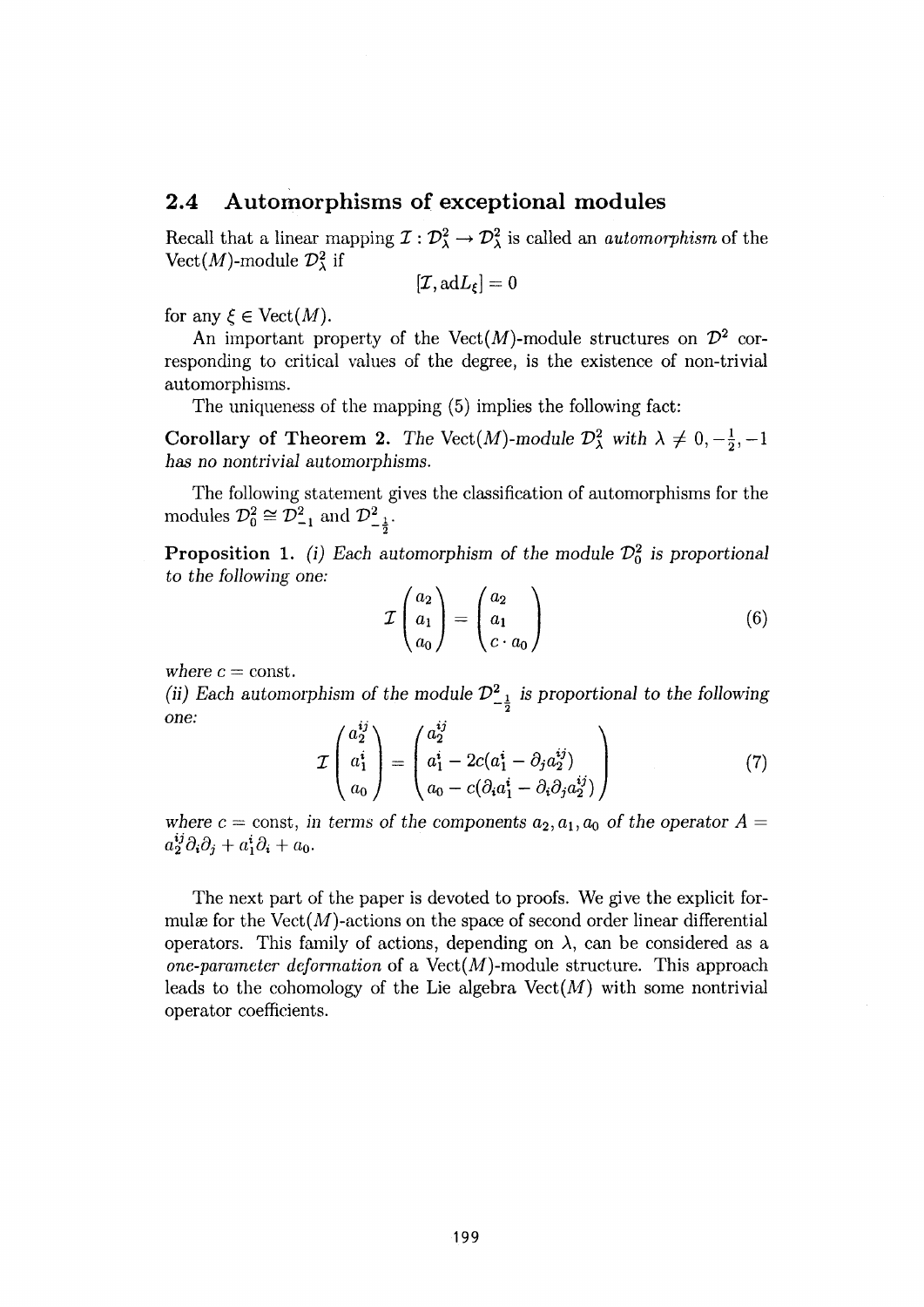#### **2.4 Automorphisms of exceptional modules**

Recall that a linear mapping  $\mathcal{I}: \mathcal{D}^2_{\lambda} \to \mathcal{D}^2_{\lambda}$  is called an *automorphism* of the Vect(M)-module  $\mathcal{D}^2_\lambda$  if

$$
[\mathcal{I}, \mathrm{ad}L_\xi]=0
$$

for any  $\xi \in \text{Vect}(M)$ .

An important property of the Vect $(M)$ -module structures on  $\mathcal{D}^2$  corresponding to critical values of the degree, is the existence of non-trivial automorphisms.

The uniqueness of the mapping (5) implies the following fact:

**Corollary of Theorem 2.** *The* Vect(M)-module  $\mathcal{D}^2_\lambda$  with  $\lambda \neq 0, -\frac{1}{2}, -1$ has *no nontrivial automorphisms.* 

The following statement gives the classification of automorphisms for the modules  $\mathcal{D}_0^2 \cong \mathcal{D}_{-1}^2$  and  $\mathcal{D}_{-\frac{1}{2}}^2$ .

**Proposition 1.** *(i) Each automorphism of the module*  $\mathcal{D}_0^2$  *is proportional to the following one:* 

$$
\mathcal{I}\begin{pmatrix}a_2\\a_1\\a_0\end{pmatrix}=\begin{pmatrix}a_2\\a_1\\c\cdot a_0\end{pmatrix}
$$
 (6)

where  $c = \text{const.}$ 

*(ii)* Each automorphism of the module  $\mathcal{D}_{1}^{2}$  is proportional to the following *one:*   $\overline{ii}$   $\overline{ii}$ 

$$
\mathcal{I}\begin{pmatrix} a_2^{ij} \\ a_1^i \\ a_0 \end{pmatrix} = \begin{pmatrix} a_2^{ij} \\ a_1^i - 2c(a_1^i - \partial_j a_2^{ij}) \\ a_0 - c(\partial_i a_1^i - \partial_i \partial_j a_2^{ij}) \end{pmatrix}
$$
(7)

*where c* = const, in terms of the components  $a_2$ ,  $a_1$ ,  $a_0$  of the operator A =  $a_2^{ij}\partial_i\partial_j + a_1^i\partial_i + a_0.$ 

The next part of the paper is devoted to proofs. We give the explicit formulæ for the  $Vect(M)$ -actions on the space of second order linear differential operators. This family of actions, depending on  $\lambda$ , can be considered as a *one-parameter deformation* of a  $Vect(M)$ -module structure. This approach leads to the cohomology of the Lie algebra  $Vect(M)$  with some nontrivial operator coefficients.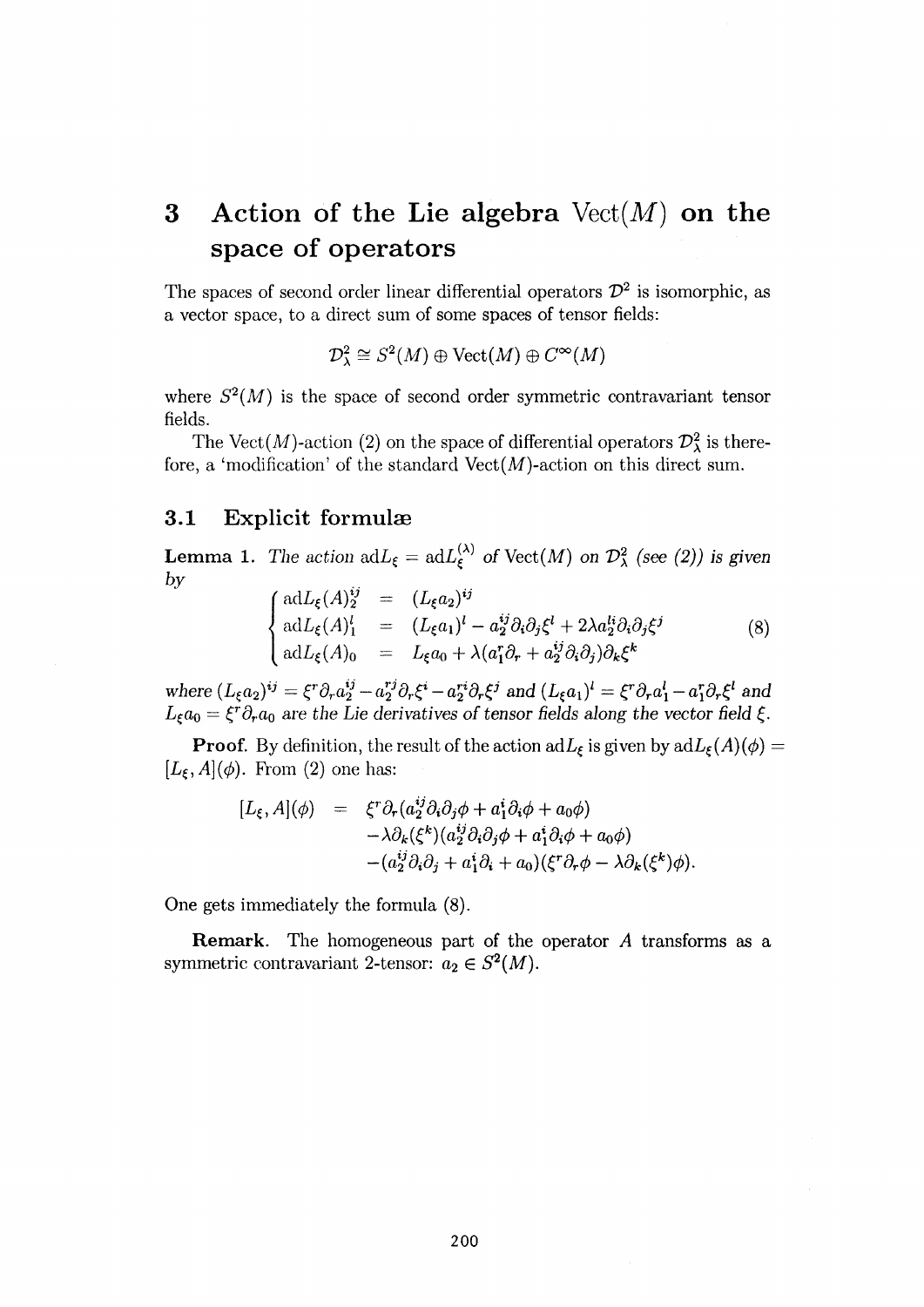## **3 Action of the Lie algebra** Vect(M) **on the space of operators**

The spaces of second order linear differential operators  $\mathcal{D}^2$  is isomorphic, as a vector space, to a direct sum of some spaces of tensor fields:

$$
\mathcal{D}^2_{\lambda} \cong S^2(M) \oplus \text{Vect}(M) \oplus C^{\infty}(M)
$$

where  $S^2(M)$  is the space of second order symmetric contravariant tensor fields.

The Vect(M)-action (2) on the space of differential operators  $\mathcal{D}^2_\lambda$  is therefore, a 'modification' of the standard  $Vect(M)$ -action on this direct sum.

#### **3.1 Explicit formulae**

**Lemma** 1. *The action*  $\mathrm{ad}L_{\xi} = \mathrm{ad}L_{\xi}^{(\lambda)}$  *of*  $\mathrm{Vect}(M)$  *on*  $\mathcal{D}_{\lambda}^{2}$  *(see (2)) is given by* 

$$
\begin{cases}\n\mathrm{ad}L_{\xi}(A)^{ij}_{2} = (L_{\xi}a_{2})^{ij} \\
\mathrm{ad}L_{\xi}(A)^{l}_{1} = (L_{\xi}a_{1})^{l} - a^{ij}_{2}\partial_{i}\partial_{j}\xi^{l} + 2\lambda a^{li}_{2}\partial_{i}\partial_{j}\xi^{j} \\
\mathrm{ad}L_{\xi}(A)_{0} = L_{\xi}a_{0} + \lambda(a_{1}^{r}\partial_{r} + a^{ij}_{2}\partial_{i}\partial_{j})\partial_{k}\xi^{k}\n\end{cases}
$$
\n(8)

where  $(L_{\xi}a_2)^{ij} = \xi^r \partial_r a_2^{ij} - a_2^{rj} \partial_r \xi^i - a_2^{rj} \partial_r \xi^j$  and  $(L_{\xi}a_1)^l = \xi^r \partial_r a_1^l - a_1^r \partial_r \xi^l$  and  $L_{\xi}a_0 = \xi^r \partial_r a_0$  are the Lie derivatives of tensor fields along the vector field  $\xi$ .

**Proof.** By definition, the result of the action  $\mathrm{ad}L_{\xi}$  is given by  $\mathrm{ad}L_{\xi}(A)(\phi) =$  $[L_{\xi}, A](\phi)$ . From (2) one has:

$$
[L_{\xi}, A](\phi) = \xi^r \partial_r (a_2^{ij} \partial_i \partial_j \phi + a_1^i \partial_i \phi + a_0 \phi) - \lambda \partial_k (\xi^k) (a_2^{ij} \partial_i \partial_j \phi + a_1^i \partial_i \phi + a_0 \phi) - (a_2^{ij} \partial_i \partial_j + a_1^i \partial_i + a_0) (\xi^r \partial_r \phi - \lambda \partial_k (\xi^k) \phi).
$$

**One gets immediately the formula** (8).

**Remark. The homogeneous part of the operator** *A* **transforms as a**  symmetric contravariant 2-tensor:  $a_2 \in S^2(M)$ .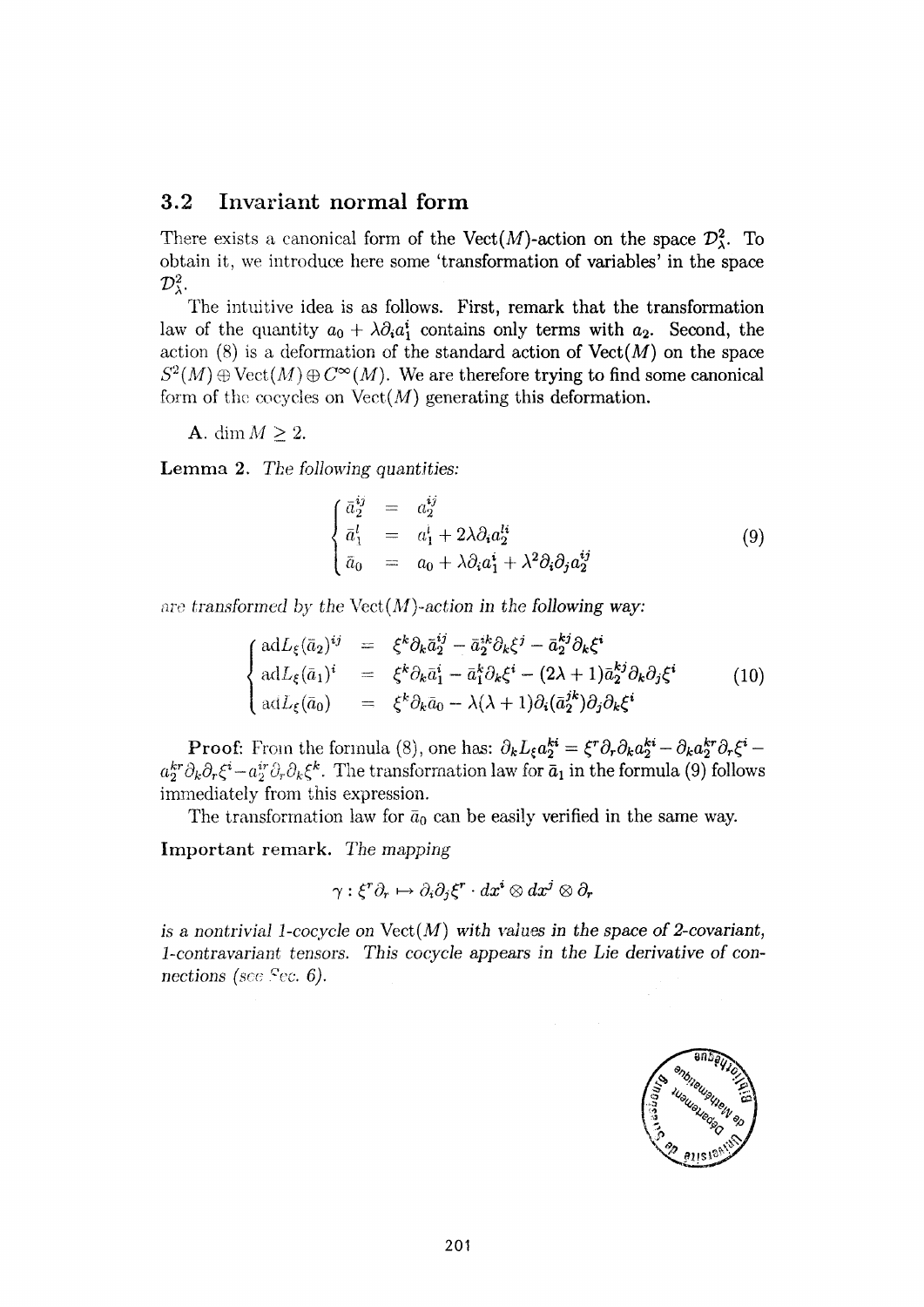#### **3.2 Invariant normal form**

There exists a canonical form of the Vect(M)-action on the space  $\mathcal{D}^2_{\lambda}$ . To obtain it, we introduce here some 'transformation of variables' in the space  $\mathcal{D}^2_{\lambda}$ .

The intuitive idea is as follows. First, remark that the transformation law of the quantity  $a_0 + \lambda \partial_i a_1^i$  contains only terms with  $a_2$ . Second, the action  $(8)$  is a deformation of the standard action of  $Vect(M)$  on the space  $S^2(M) \oplus \text{Vect}(M) \oplus C^{\infty}(M)$ . We are therefore trying to find some canonical form of the cocycles on  $Vect(M)$  generating this deformation.

A. dim  $M \geq 2$ .

**Lemma** 2. *The following quantities:* 

$$
\begin{cases}\n\bar{a}_2^{ij} = a_2^{ij} \\
\bar{a}_1^l = a_1^l + 2\lambda \partial_i a_2^{li} \\
\bar{a}_0 = a_0 + \lambda \partial_i a_1^i + \lambda^2 \partial_i \partial_j a_2^{ij}\n\end{cases}
$$
\n(9)

are transformed by the  $Vect(M)$ -action in the following way:

$$
\begin{cases}\n\mathrm{ad}L_{\xi}(\bar{a}_{2})^{ij} &= \xi^{k}\partial_{k}\bar{a}_{2}^{ij} - \bar{a}_{2}^{ik}\partial_{k}\xi^{j} - \bar{a}_{2}^{kj}\partial_{k}\xi^{i} \\
\mathrm{ad}L_{\xi}(\bar{a}_{1})^{i} &= \xi^{k}\partial_{k}\bar{a}_{1}^{i} - \bar{a}_{1}^{k}\partial_{k}\xi^{i} - (2\lambda + 1)\bar{a}_{2}^{kj}\partial_{k}\partial_{j}\xi^{i} \\
\mathrm{ad}L_{\xi}(\bar{a}_{0}) &= \xi^{k}\partial_{k}\bar{a}_{0} - \lambda(\lambda + 1)\partial_{i}(\bar{a}_{2}^{jk})\partial_{j}\partial_{k}\xi^{i}\n\end{cases}
$$
\n(10)

**Proof:** From the formula (8), one has:  $\partial_k L_{\xi} a_2^{ki} = \xi^r \partial_r \partial_k a_2^{ki} - \partial_k a_2^{kr} \partial_r \xi^i$  $a_2^{kr}\partial_k\partial_r\xi^i-a_2^{ir}\partial_r\partial_k\xi^k$ . The transformation law for  $\bar a_1$  in the formula (9) follows immediately from this expression.

The transformation law for  $\bar{a}_0$  can be easily verified in the same way.

Important remark. *The mapping* 

$$
\gamma: \xi^r\partial_r \mapsto \partial_i\partial_j\xi^r\cdot dx^i\otimes dx^j\otimes \partial_r
$$

*is a nontrivial 1-cocycle on* Vect(M) *with values in the space of 2-covariant, 1-contravariant tensors. This cocycle appears in the Lie derivative of connections* (*see Sec.* 6).

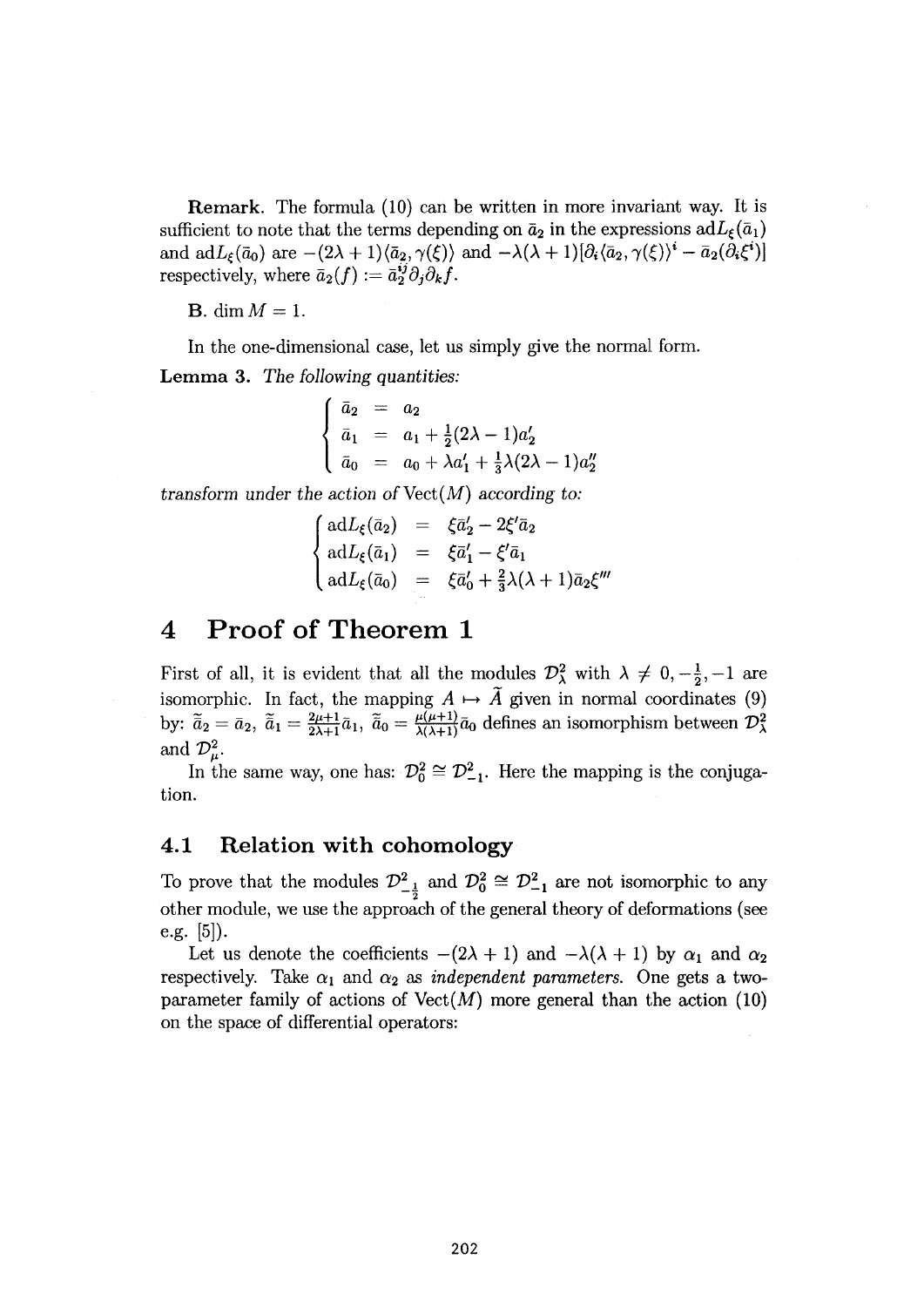**Remark.** The formula (10) can be written in more invariant way. It is sufficient to note that the terms depending on  $\bar{a}_2$  in the expressions  $adL_{\xi}(\bar{a}_1)$ and  $adL_{\xi}(\bar{a}_0)$  are  $-(2\lambda+1)\langle \bar{a}_2, \gamma(\xi) \rangle$  and  $-\lambda(\lambda+1)[\partial_i \langle \bar{a}_2, \gamma(\xi) \rangle^* - \bar{a}_2(\partial_i \xi^*)]$ respectively, where  $\bar{a}_2(f) := \bar{a}_2^{ij} \partial_j \partial_k f$ .

**B.** dim  $M = 1$ .

In the one-dimensional case, let us simply give the normal form.

**Lemma 3.** *The following Quantities:* 

$$
\begin{cases}\n\bar{a}_2 = a_2 \\
\bar{a}_1 = a_1 + \frac{1}{2}(2\lambda - 1)a'_2 \\
\bar{a}_0 = a_0 + \lambda a'_1 + \frac{1}{3}\lambda(2\lambda - 1)a'_2\n\end{cases}
$$

'<br>!

*transform under the action of* Vect(M) *according to:* 

$$
\begin{cases}\n\mathrm{ad}L_{\xi}(\bar{a}_{2}) &= \xi \bar{a}_{2}^{\prime} - 2\xi^{\prime}\bar{a}_{2} \\
\mathrm{ad}L_{\xi}(\bar{a}_{1}) &= \xi \bar{a}_{1}^{\prime} - \xi^{\prime}\bar{a}_{1} \\
\mathrm{ad}L_{\xi}(\bar{a}_{0}) &= \xi \bar{a}_{0}^{\prime} + \frac{2}{3}\lambda(\lambda + 1)\bar{a}_{2}\xi^{\prime\prime\prime}\n\end{cases}
$$

## **4 Proof of Theorem 1**

First of all, it is evident that all the modules  $\mathcal{D}^2_\lambda$  with  $\lambda \neq 0, -\frac{1}{2}, -1$  are isomorphic. In fact, the mapping  $A \mapsto \tilde{A}$  given in normal coordinates (9) by:  $\tilde{\bar{a}}_2 = \bar{a}_2$ ,  $\tilde{\bar{a}}_1 = \frac{2\mu+1}{2\lambda+1}\bar{a}_1$ ,  $\tilde{\bar{a}}_0 = \frac{\mu(\mu+1)}{\lambda(\lambda+1)}\bar{a}_0$  defines an isomorphism between  $\mathcal{D}^2_{\lambda}$ and  $\mathcal{D}^2_{\mu}$ .

In the same way, one has:  $\mathcal{D}_0^2 \cong \mathcal{D}_{-1}^2$ . Here the mapping is the conjugation.

#### **4.1 Relation with cohomology**

To prove that the modules  $\mathcal{D}_{-\frac{1}{2}}^2$  and  $\mathcal{D}_0^2 \cong \mathcal{D}_{-1}^2$  are not isomorphic to any other module, we use the approach of the general theory of deformations (see e.g. [5]).

Let us denote the coefficients  $-(2\lambda + 1)$  and  $-\lambda(\lambda + 1)$  by  $\alpha_1$  and  $\alpha_2$ respectively. Take  $\alpha_1$  and  $\alpha_2$  as *independent parameters*. One gets a twoparameter family of actions of  $Vect(M)$  more general than the action (10) on the space of differential operators: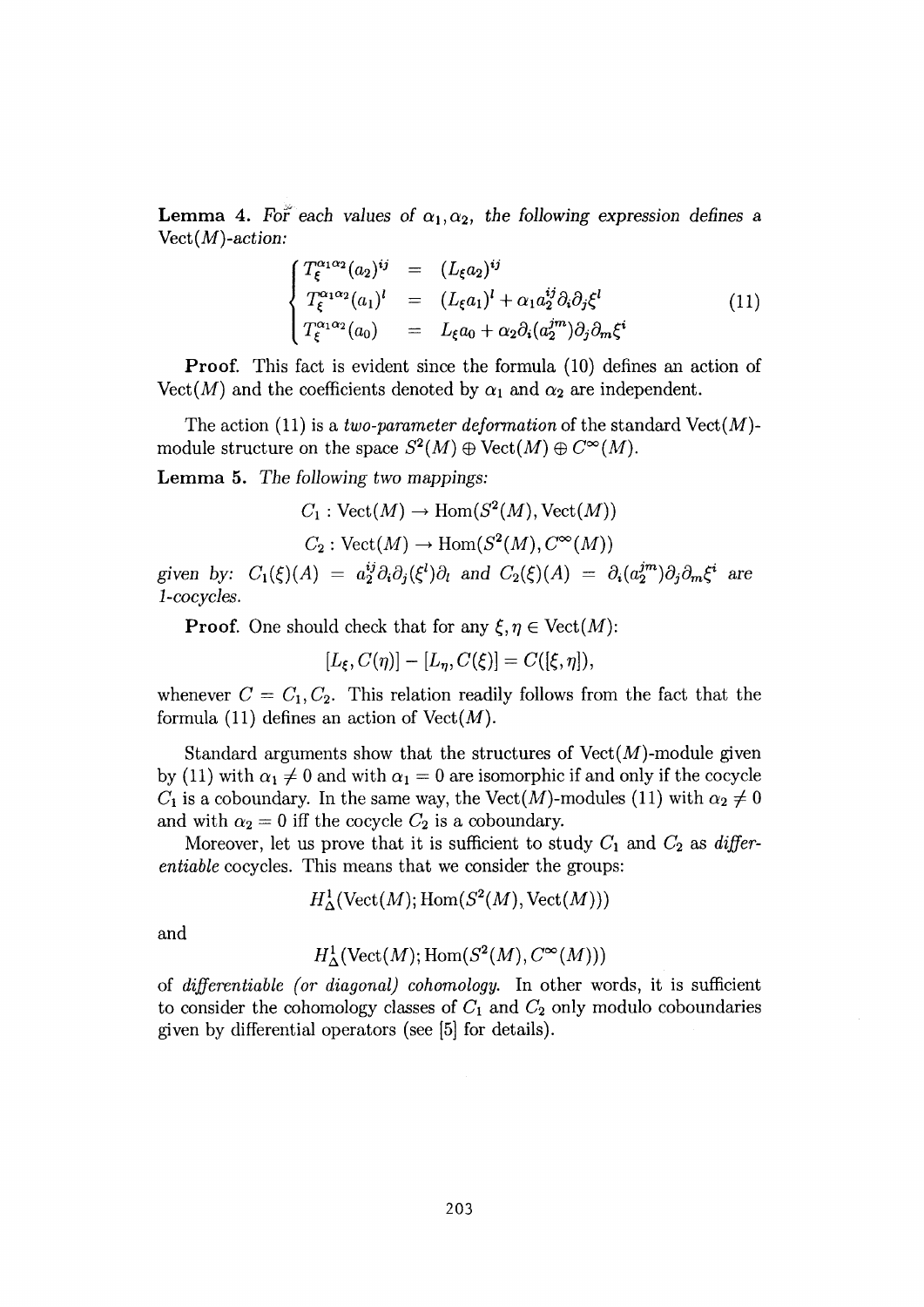**Lemma 4.** *For each values of*  $\alpha_1, \alpha_2$ , the following expression defines a  $Vect(M)$ -action:

$$
\begin{cases}\nT_{\xi}^{\alpha_1 \alpha_2}(a_2)^{ij} = (L_{\xi} a_2)^{ij} \\
T_{\xi}^{\alpha_1 \alpha_2}(a_1)^{l} = (L_{\xi} a_1)^{l} + \alpha_1 a_2^{ij} \partial_i \partial_j \xi^{l} \\
T_{\xi}^{\alpha_1 \alpha_2}(a_0) = L_{\xi} a_0 + \alpha_2 \partial_i (a_2^{jm}) \partial_j \partial_m \xi^{i}\n\end{cases}
$$
\n(11)

**Proof.** This fact is evident since the formula (10) defines an action of  $Vect(M)$  and the coefficients denoted by  $\alpha_1$  and  $\alpha_2$  are independent.

The action  $(11)$  is a *two-parameter deformation* of the standard Vect $(M)$ module structure on the space  $S^2(M) \oplus \text{Vect}(M) \oplus C^{\infty}(M)$ .

**Lemma 5.** *The following two mappings:* 

$$
C_1: \text{Vect}(M) \to \text{Hom}(S^2(M), \text{Vect}(M))
$$
  

$$
C_2: \text{Vect}(M) \to \text{Hom}(S^2(M), C^{\infty}(M))
$$

given by:  $C_1(\xi)(A) = a^{ij}_2 \partial_i \partial_j(\xi^l) \partial_l$  and  $C_2(\xi)(A) = \partial_i(a^{jm}_2) \partial_j \partial_m \xi^i$  are 1-cocycles.

**Proof.** One should check that for any  $\xi, \eta \in \text{Vect}(M)$ :

$$
[L_{\xi}, C(\eta)] - [L_{\eta}, C(\xi)] = C([\xi, \eta]),
$$

whenever  $C = C_1, C_2$ . This relation readily follows from the fact that the formula (11) defines an action of  $Vect(M)$ .

Standard arguments show that the structures of  $Vect(M)$ -module given by (11) with  $\alpha_1 \neq 0$  and with  $\alpha_1 = 0$  are isomorphic if and only if the cocycle  $C_1$  is a coboundary. In the same way, the Vect(M)-modules (11) with  $\alpha_2 \neq 0$ and with  $\alpha_2 = 0$  iff the cocycle  $C_2$  is a coboundary.

Moreover, let us prove that it is sufficient to study *C\* and *C<sup>2</sup>* as *differentiable* cocycles. This means that we consider the groups:

$$
H^1_{\Delta}(\text{Vect}(M); \text{Hom}(S^2(M), \text{Vect}(M)))
$$

and

$$
H^1_{\Delta}(\text{Vect}(M); \text{Hom}(S^2(M), C^{\infty}(M)))
$$

of *differentiate (or diagonal) cohomology.* In other words, it is sufficient to consider the cohomology classes of  $C_1$  and  $C_2$  only modulo coboundaries given by differential operators (see [5] for details).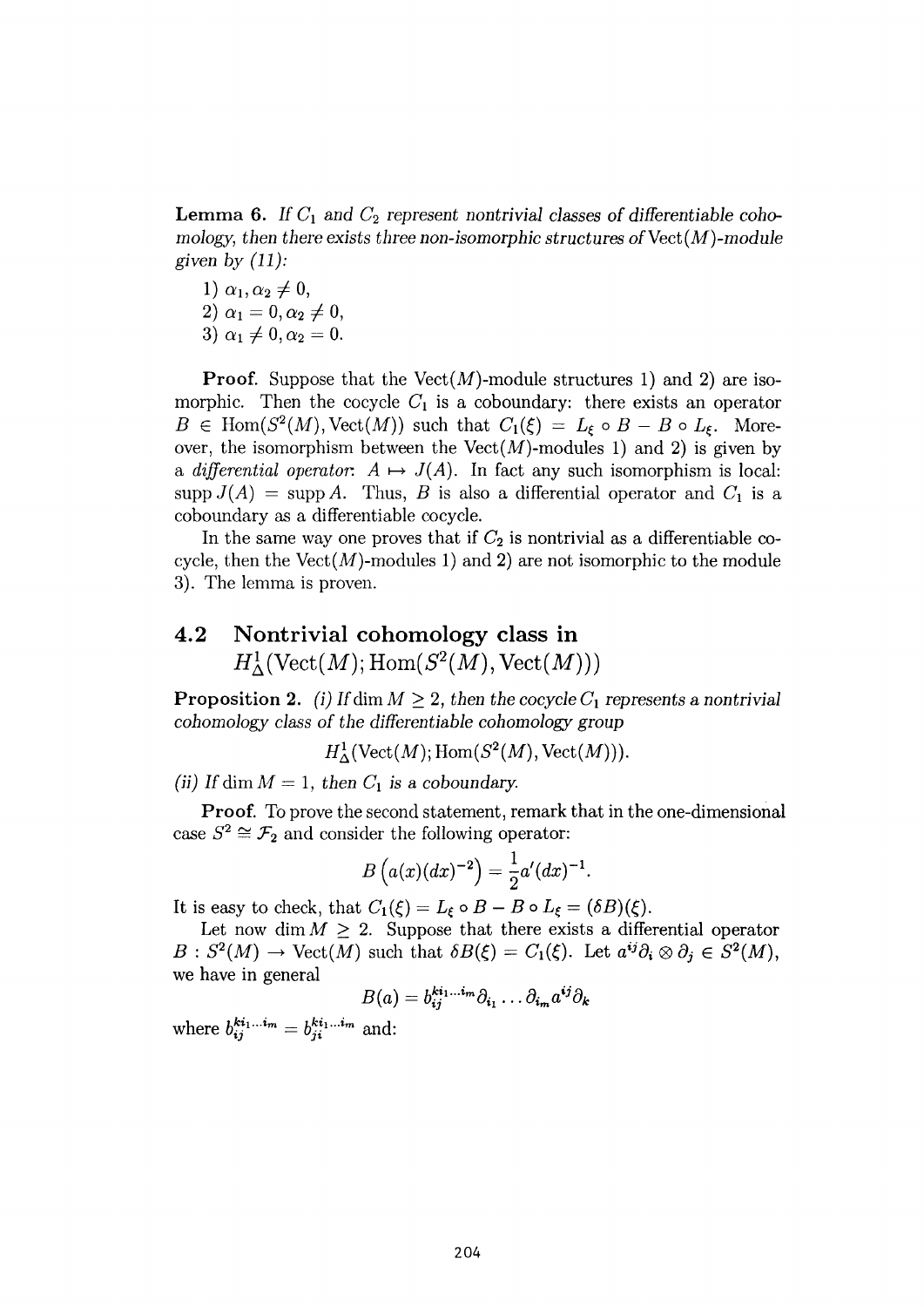Lemma 6. If  $C_1$  and  $C_2$  represent nontrivial classes of differentiable cohomology, then there exists three non-isomorphic structures of  $Vect(M)$ -module *given by (11):* 

- 1)  $\alpha_1, \alpha_2 \neq 0$ ,
- $(2) \alpha_1 = 0, \alpha_2 \neq 0,$
- 3)  $\alpha_1 \neq 0, \alpha_2 = 0$ .

**Proof.** Suppose that the Vect $(M)$ -module structures 1) and 2) are isomorphic. Then the cocycle  $C_1$  is a coboundary: there exists an operator  $\in$  Hom( $S^2(M)$ , Vect(M)) such that  $C_1(\xi) = L_{\xi} \circ B - B \circ L_{\xi}$ . Moreover, the isomorphism between the  $Vect(M)$ -modules 1) and 2) is given by a *differential operator.*  $A \mapsto J(A)$ . In fact any such isomorphism is local:  $\text{supp } J(A) = \text{supp } A$ . Thus, B is also a differential operator and  $C_1$  is a coboundary as a differentiable cocycle.

In the same way one proves that if  $C_2$  is nontrivial as a differentiable cocycle, then the  $Vect(M)$ -modules 1) and 2) are not isomorphic to the module 3). The lemma is proven.

## **4.2 Nontrivial cohomology class in**   $H^1_\Delta(\text{Vect}(M); \text{Hom}(S^2(M),\text{Vect}(M)))$

**Proposition 2.** *(i)* If dim  $M \geq 2$ , then the cocycle  $C_1$  represents a nontrivial *cohomology class of the differentiable cohomology group* 

 $H^1_\Delta(\text{Vect}(M); \text{Hom}(S^2(M), \text{Vect}(M))).$ 

*(ii)* If dim  $M = 1$ , then  $C_1$  is a coboundary.

**Proof.** To prove the second statement, remark that in the one-dimensional case  $S^2 \cong \mathcal{F}_2$  and consider the following operator:

$$
B(a(x)(dx)^{-2}) = \frac{1}{2}a'(dx)^{-1}.
$$

It is easy to check, that  $C_1(\xi) = L_{\xi} \circ B - B \circ L_{\xi} = (\delta B)(\xi)$ .

Let now dim  $M \geq 2$ . Suppose that there exists a differential operator  $: S^2(M) \to \text{Vect}(M)$  such that  $\delta B(\xi) = C_1(\xi)$ . Let  $a^{ij}\partial_i \otimes \partial_j \in S^2(M)$ , **we have in general** 

$$
B(a) = b_{ij}^{ki_1...i_m} \partial_{i_1} \dots \partial_{i_m} a^{ij} \partial_k
$$

where  $b^{i,j}_{ij}$  and: and: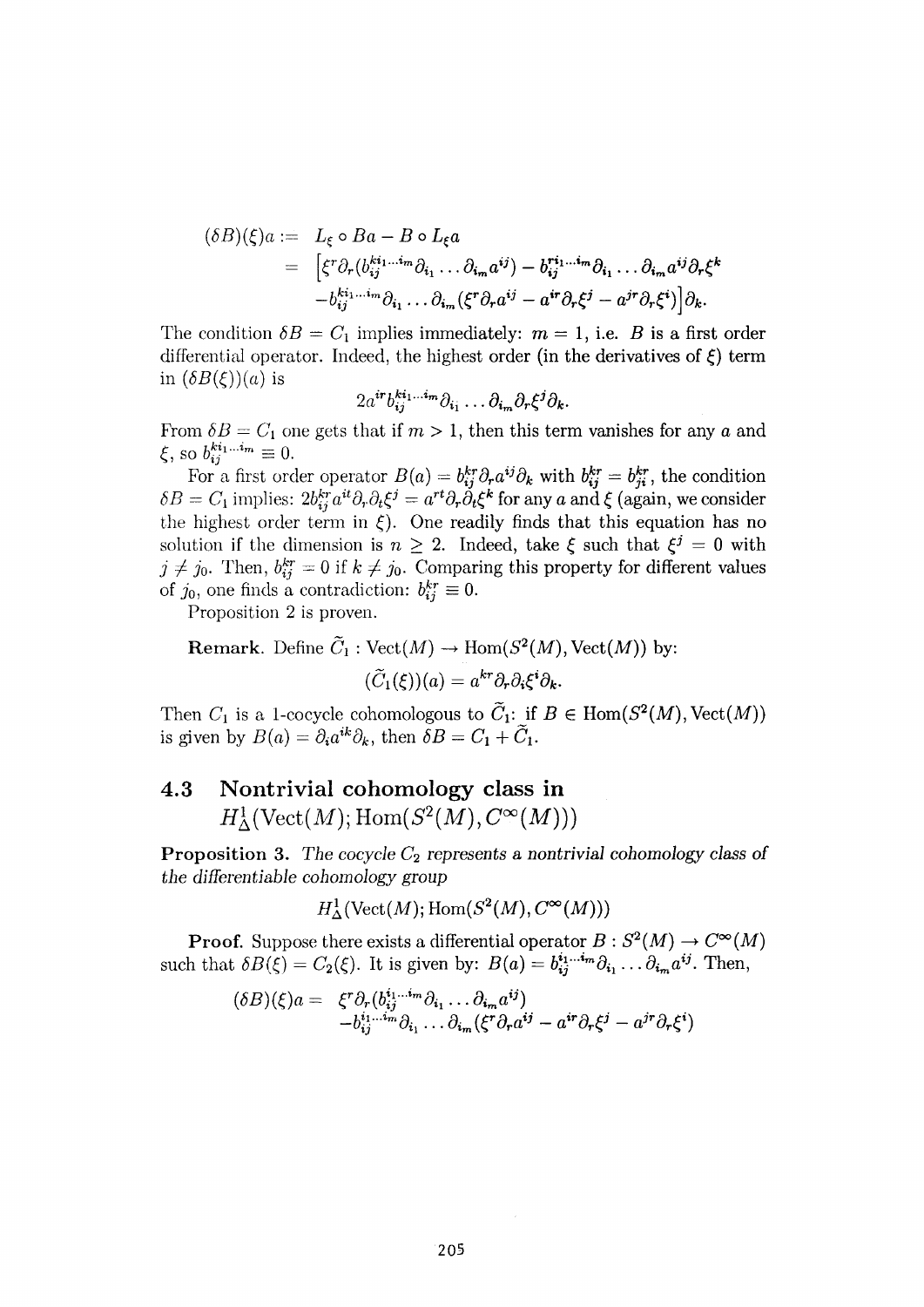$$
(\delta B)(\xi)a := L_{\xi} \circ Ba - B \circ L_{\xi}a
$$
  
= 
$$
\left[ \xi^{r} \partial_{r} (b_{ij}^{ki_{1}...i_{m}} \partial_{i_{1}} ... \partial_{i_{m}} a^{ij}) - b_{ij}^{ri_{1}...i_{m}} \partial_{i_{1}} ... \partial_{i_{m}} a^{ij} \partial_{r} \xi^{k} - b_{ij}^{ki_{1}...i_{m}} \partial_{i_{1}} ... \partial_{i_{m}} (\xi^{r} \partial_{r} a^{ij} - a^{ir} \partial_{r} \xi^{j} - a^{jr} \partial_{r} \xi^{i}) \right] \partial_{k}.
$$

The condition  $\delta B = C_1$  implies immediately:  $m = 1$ , i.e. B is a first order differential operator. Indeed, the highest order (in the derivatives of *ξ)* term in  $(\delta B(\xi))(a)$  is

$$
2a^{\boldsymbol{i}r}b_{\boldsymbol{i}j}^{\boldsymbol{k i_1} \dots \boldsymbol{i_m}}\partial_{\boldsymbol{i_1}}\dots \partial_{\boldsymbol{i_m}}\partial_r \xi^{\boldsymbol{j}}\partial_{\boldsymbol{k}}.
$$

From  $\delta B = C_1$  one gets that if  $m > 1$ , then this term vanishes for any *a* and  $,$  so  $b_{ij}^{k i_1 ... i_m} \equiv 0.$ 

For a first order operator  $B(a) = b_{ij}^{kr} \partial_r a^{ij} \partial_k$  with  $b_{ij}^{kr} = b_{ji}^{kr}$ , the condition  $\delta B = C_1$  implies:  $2b^{kr}_{ij} a^{it} \partial_r \partial_t \xi^j = a^{rt} \partial_r \dot{\partial}_t \xi^k$  for any *a* and  $\xi$  (again, we consider the highest order term in  $\xi$ ). One readily finds that this equation has no solution if the dimension is  $n \geq 2$ . Indeed, take  $\xi$  such that  $\xi^j = 0$  with  $j \neq j_0$ . Then,  $b_{ij}^{kr} = 0$  if  $k \neq j_0$ . Comparing this property for different values of  $j_0$ , one finds a contradiction:  $b_{ij}^{kr} \equiv 0$ .

Proposition 2 is proven.

**Remark.** Define  $C_1$ :  $Vect(M) \to Hom(S^2(M), Vect(M))$  by:  $(C_1(\xi))(a) = a^{kr}\partial_r\partial_i\xi^i\partial_k$ 

Then  $C_1$  is a 1-cocycle cohomologous to  $C_1$ : if  $B \in \text{Hom}(S^2(M), \text{Vect}(M))$ is given by  $B(a) = \partial_i a^{ik} \partial_k$ , then  $\delta B = C_1 + C_1$ .

## **4.3 Nontrivial cohomology class in**   $H^1_\Lambda(\text{Vect}(M); \text{Hom}(S^2(M), C^\infty(M)))$

**Proposition** 3. The cocycle  $C_2$  represents a nontrivial cohomology class of *the differentiable cohomology group* 

$$
H^1_{\Delta}(\text{Vect}(M); \text{Hom}(S^2(M), C^{\infty}(M)))
$$

**Proof.** Suppose there exists a differential operator  $B: S^2(M) \to C^\infty(M)$ such that  $\delta B(\xi) = C_2(\xi)$ . It is given by:  $B(a) = b_{ij}^{i_1...i_m} \partial_{i_1} \dots \partial_{i_m} a^{ij}$ . Then,

$$
(\delta B)(\xi)a = \xi^r \partial_r (b_{ij}^{i_1...i_m} \partial_{i_1} ... \partial_{i_m} a^{ij})
$$
  
-  $b_{ij}^{i_1...i_m} \partial_{i_1} ... \partial_{i_m} (\xi^r \partial_r a^{ij} - a^{ir} \partial_r \xi^j - a^{jr} \partial_r \xi^i)$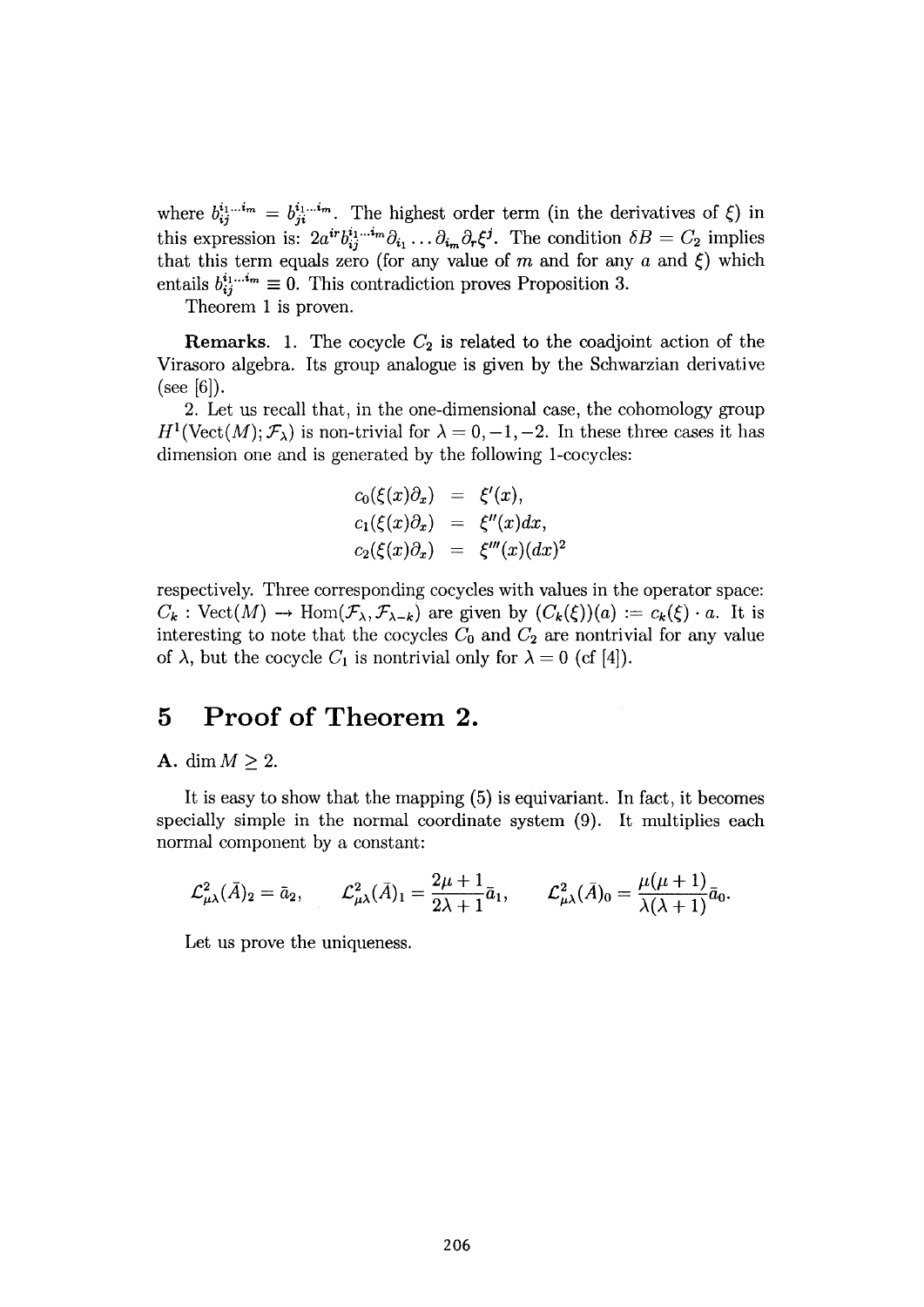where  $b_{ii}^{i_1...i_m} = b_{ii}^{i_1...i_m}$ . The highest order term (in the derivatives of  $\xi$ ) in this expression is:  $2a^{ir}b^{i_1...i_m}_{i_1}\partial_{i_1}\dots\partial_{i_m}\partial_r\xi^j$ . The condition  $\delta B = C_2$  implies that this term equals zero (for any value of *m* and for any *a* and *ξ)* which entails  $b_{ij}^{i_1...i_m} \equiv 0$ . This contradiction proves Proposition 3.

Theorem 1 is proven.

**Remarks.** 1. The cocycle  $C_2$  is related to the coadjoint action of the Virasoro algebra. Its group analogue is given by the Schwarzian derivative  $(see [6]).$ 

2. Let us recall that, in the one-dimensional case, the cohomology group  $H^1(\text{Vect}(M); \mathcal{F}_\lambda)$  is non-trivial for  $\lambda = 0, -1, -2$ . In these three cases it has dimension one and is generated by the following 1-cocycles:

$$
\begin{array}{rcl} c_0(\xi(x)\partial_x) &=& \xi'(x),\\ c_1(\xi(x)\partial_x) &=& \xi''(x)dx,\\ c_2(\xi(x)\partial_x) &=& \xi'''(x)(dx)^2\end{array}
$$

respectively. Three corresponding cocycles with values in the operator space:  $C_k$ : Vect $(M) \to \text{Hom}(\mathcal{F}_{\lambda}, \mathcal{F}_{\lambda-k})$  are given by  $(C_k(\xi))(a) := c_k(\xi) \cdot a$ . It is interesting to note that the cocycles  $C_0$  and  $C_2$  are nontrivial for any value of  $\lambda$ , but the cocycle  $C_1$  is nontrivial only for  $\lambda = 0$  (cf [4]).

#### **5 Proof of Theorem 2.**

#### A. dim  $M \geq 2$ .

It is easy to show that the mapping (5) is equivariant. In fact, it becomes specially simple in the normal coordinate system (9). It multiplies each normal component by a constant:

$$
\mathcal{L}^2_{\mu\lambda}(\bar{A})_2 = \bar{a}_2, \qquad \mathcal{L}^2_{\mu\lambda}(\bar{A})_1 = \frac{2\mu+1}{2\lambda+1}\bar{a}_1, \qquad \mathcal{L}^2_{\mu\lambda}(\bar{A})_0 = \frac{\mu(\mu+1)}{\lambda(\lambda+1)}\bar{a}_0.
$$

*Let* us prove the uniqueness.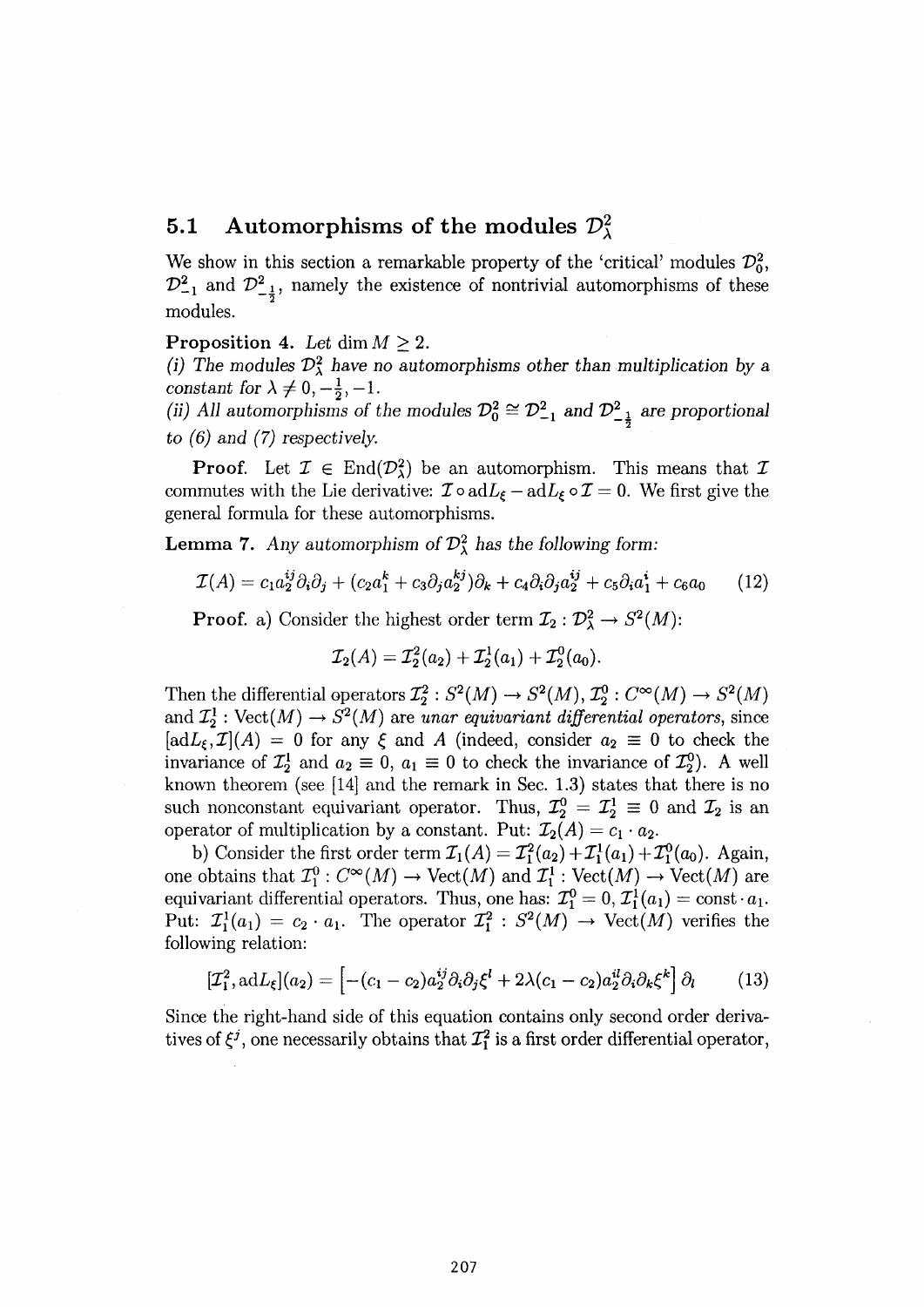#### **5.1 Automorphisms of the modules**  $\mathcal{D}^2_\lambda$

We show in this section a remarkable property of the 'critical' modules  $\mathcal{D}_0^2$ ,  $\mathcal{D}_{-1}^2$  and  $\mathcal{D}_{-\frac{1}{2}}^2$ , namely the existence of nontrivial automorphisms of these modules.

#### **Proposition 4.** Let dim  $M \geq 2$ .

*(i) The modules*  $\mathcal{D}^2_\lambda$  *have no automorphisms other than multiplication by a constant for*  $\lambda \neq 0, -\frac{1}{2}, -1$ .

(ii) All automorphisms of the modules  $\mathcal{D}_0^2 \cong \mathcal{D}_{-1}^2$  and  $\mathcal{D}_{-\frac{1}{2}}^2$  are proportional  $\omega$  *(6)* and (7) respectively.

**Proof.** Let  $\mathcal{I} \in \text{End}(\mathcal{D}_{\lambda}^2)$  be an automorphism. This means that  $\mathcal{I}$ commutes with the Lie derivative:  $\mathcal{I} \circ \mathrm{ad}L_{\xi} - \mathrm{ad}L_{\xi} \circ \mathcal{I} = 0$ . We first give the general formula for these automorphisms.

**Lemma 7.** Any automorphism of  $\mathcal{D}^2_\lambda$  has the following form:

$$
\mathcal{I}(A) = c_1 a_2^{ij} \partial_i \partial_j + (c_2 a_1^k + c_3 \partial_j a_2^{kj}) \partial_k + c_4 \partial_i \partial_j a_2^{ij} + c_5 \partial_i a_1^i + c_6 a_0 \qquad (12)
$$

**Proof.** a) Consider the highest order term  $\mathcal{I}_2 : \mathcal{D}^2_\lambda \to S^2(M)$ :

$$
\mathcal{I}_2(A)=\mathcal{I}_2^2(a_2)+\mathcal{I}_2^1(a_1)+\mathcal{I}_2^0(a_0).
$$

Then the differential operators  $\mathcal{I}_2^2$ :  $S^2(M) \to S^2(M)$ ,  $\mathcal{I}_2^0$ :  $C^{\infty}(M) \to S^2(M)$ and  $\mathcal{I}_2^1$ : Vect $(M) \to S^2(M)$  are unar equivariant differential operators, since  $[\text{ad}L_{\xi}, \mathcal{I}](A) = 0$  for any  $\xi$  and A (indeed, consider  $a_2 \equiv 0$  to check the invariance of  $\mathcal{I}_2^1$  and  $a_2 \equiv 0$ ,  $a_1 \equiv 0$  to check the invariance of  $\mathcal{I}_2^0$ . A well known theorem (see [14] and the remark in Sec. 1.3) states that there is no such nonconstant equivariant operator. Thus,  $\mathcal{I}_2^0 = \mathcal{I}_2^1 \equiv 0$  and  $\mathcal{I}_2$  is an operator of multiplication by a constant. Put:  $\mathcal{I}_2(A) = c_1 \cdot a_2$ .

b) Consider the first order term  $\mathcal{I}_1(A) = \mathcal{I}_1^2(a_2) + \mathcal{I}_1^1(a_1) + \mathcal{I}_1^0(a_0)$ . Again, one obtains that  $\mathcal{I}_1^0$  :  $C^{\infty}(M) \to \text{Vect}(M)$  and  $\mathcal{I}_1^1$  :  $\text{Vect}(M) \to \text{Vect}(M)$  are equivariant differential operators. Thus, one has:  $\mathcal{I}_1^0 = 0, \mathcal{I}_1^1(a_1) = \text{const} \cdot a_1$ . Put:  $\mathcal{I}_1^1(a_1) = c_2 \cdot a_1$ . The operator  $\mathcal{I}_1^2 : S^2(M) \to \text{Vect}(M)$  verifies the following relation:

$$
[\mathcal{I}_1^2, \mathrm{ad}L_\xi](a_2) = \left[ -(c_1 - c_2) a_2^{ij} \partial_i \partial_j \xi^l + 2\lambda (c_1 - c_2) a_2^{il} \partial_i \partial_k \xi^k \right] \partial_l \tag{13}
$$

Since the right-hand side of this equation contains only second order derivatives of  $\xi^j$ , one necessarily obtains that  $\mathcal{I}_1^2$  is a first order differential operator,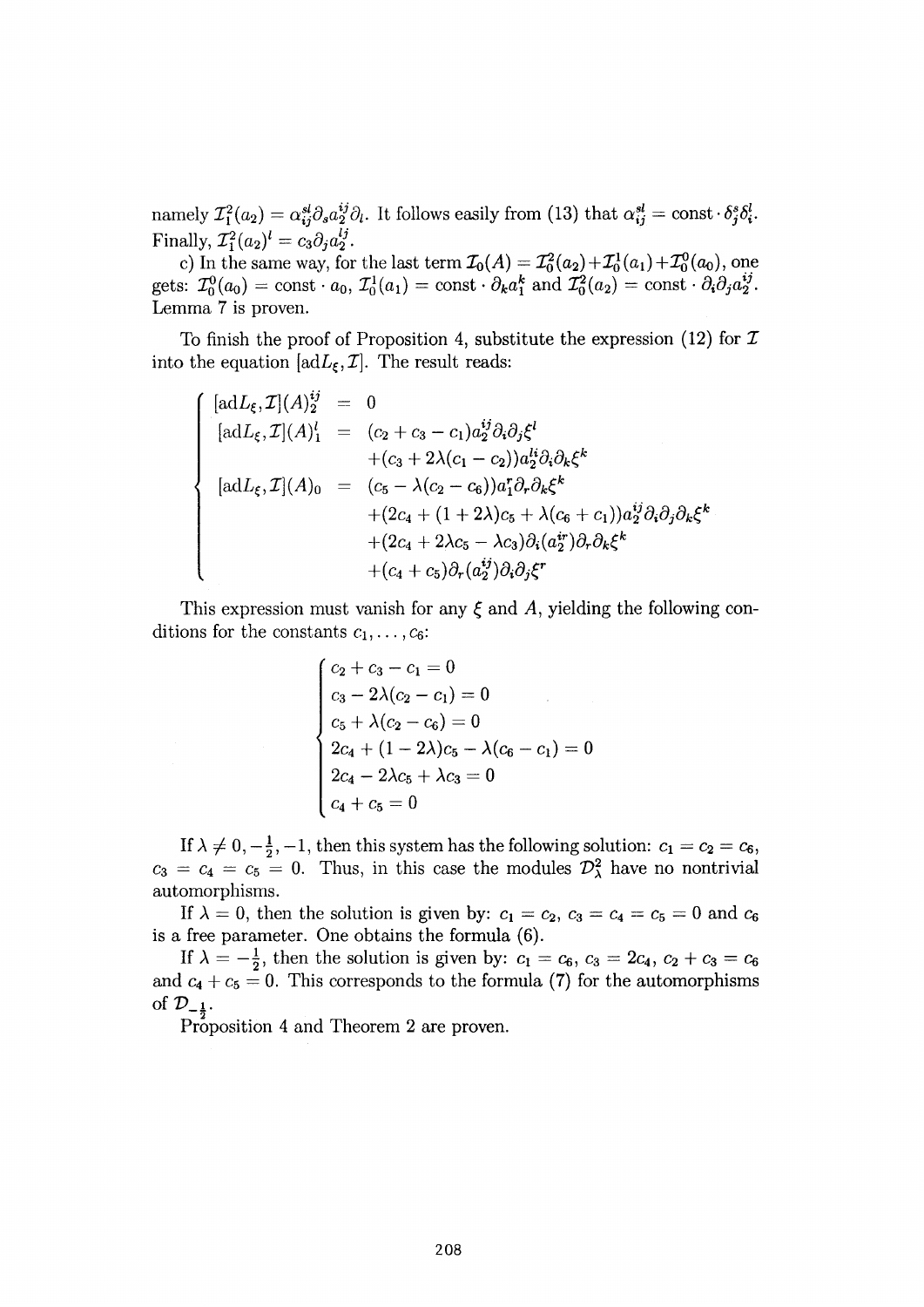namely  $\mathcal{I}_1^2(a_2) = \alpha_{ij}^{sl} \partial_s a_2^{ij} \partial_l$ . It follows easily from (13) that  $\alpha_{ij}^{sl} = \text{const} \cdot \delta_j^s \delta_i^l$ . Finally,  $\mathcal{I}_1^2(a_2)^i = c_3 \partial_j a_2^i$ .

c) In the same way, for the last term  $\mathcal{I}_0(A) = \mathcal{I}_0^2(a_2) + \mathcal{I}_0^1(a_1) + \mathcal{I}_0^0(a_0)$ , one gets:  $\mathcal{I}_0^0(a_0) = \text{const} \cdot a_0$ ,  $\mathcal{I}_0^1(a_1) = \text{const} \cdot \partial_k a_1^k$  and  $\mathcal{I}_0^2(a_2) = \text{const} \cdot \partial_i \partial_j a_2^{\prime \prime}$ . Lemma 7 is proven.

To finish the proof of Proposition 4, substitute the expression (12) for  $\mathcal I$ into the equation  $[adL_{\xi}, \mathcal{I}]$ . The result reads:

$$
\begin{array}{rcl}\n[\n\text{ad}L_{\xi}, \mathcal{I}](A)^{ij}_{2} & = & 0 \\
[\n\text{ad}L_{\xi}, \mathcal{I}](A)^{l}_{1} & = & (c_{2} + c_{3} - c_{1})a^{ij}_{2}\partial_{i}\partial_{j}\xi^{l} \\
& & + (c_{3} + 2\lambda(c_{1} - c_{2}))a^{li}_{2}\partial_{i}\partial_{k}\xi^{k} \\
[\n\text{ad}L_{\xi}, \mathcal{I}](A)_{0} & = & (c_{5} - \lambda(c_{2} - c_{6}))a^{r}_{1}\partial_{r}\partial_{k}\xi^{k} \\
& & + (2c_{4} + (1 + 2\lambda)c_{5} + \lambda(c_{6} + c_{1}))a^{ij}_{2}\partial_{i}\partial_{j}\partial_{k}\xi^{k} \\
& & + (c_{4} + c_{5})\partial_{r}(a^{ij}_{2})\partial_{i}\partial_{j}\xi^{r}\n\end{array}
$$

This expression must vanish for any  $\xi$  and  $A$ , yielding the following conditions for the constants  $c_1, \ldots, c_6$ :

$$
\begin{cases}\nc_2 + c_3 - c_1 = 0 \\
c_3 - 2\lambda(c_2 - c_1) = 0 \\
c_5 + \lambda(c_2 - c_6) = 0 \\
2c_4 + (1 - 2\lambda)c_5 - \lambda(c_6 - c_1) = 0 \\
2c_4 - 2\lambda c_5 + \lambda c_3 = 0 \\
c_4 + c_5 = 0\n\end{cases}
$$

If  $\lambda \neq 0, -\frac{1}{2}, -1$ , then this system has the following solution:  $c_1 = c_2 = c_6$ ,  $c_3 = c_4 = c_5 = 0$ . Thus, in this case the modules  $\mathcal{D}^2_\lambda$  have no nontrivial automorphisms.

If  $\lambda = 0$ , then the solution is given by:  $c_1 = c_2$ ,  $c_3 = c_4 = c_5 = 0$  and is a free parameter. One obtains the formula (6).

If  $\lambda = -\frac{1}{2}$ , then the solution is given by:  $c_1 = c_6$ ,  $c_3 = 2c_4$ ,  $c_2 + c_3 = c_6$ and  $c_4 + c_5 = 0$ . This corresponds to the formula (7) for the automorphisms of  $\mathcal{D}_{-\frac{1}{2}}$ .

Proposition 4 and Theorem 2 are proven.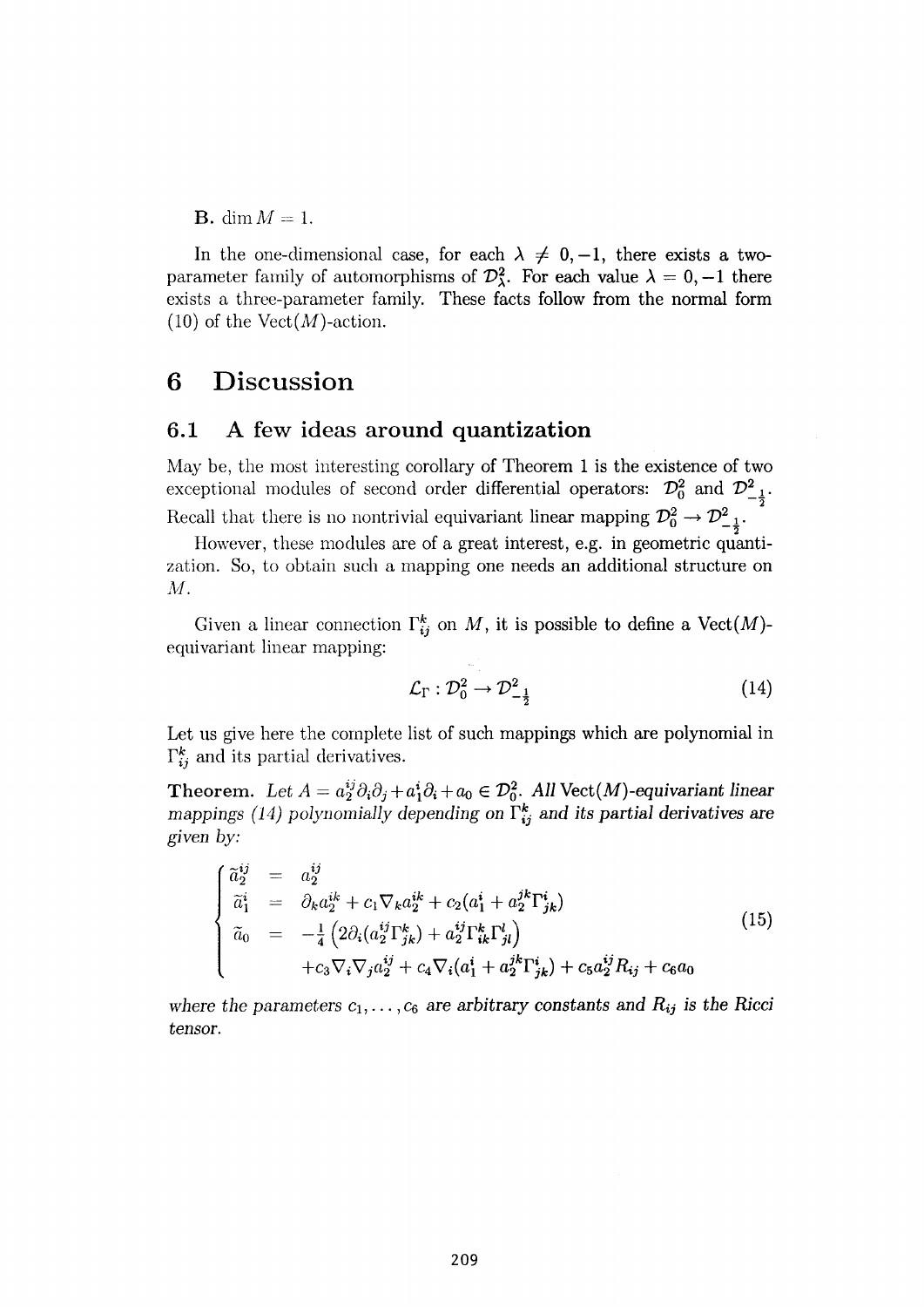**B.** dim  $M = 1$ .

In the one-dimensional case, for each  $\lambda \neq 0, -1$ , there exists a twoparameter family of automorphisms of  $\mathcal{D}^2_\lambda$ . For each value  $\lambda = 0, -1$  there exists a three-parameter family. These facts follow from the normal form  $(10)$  of the Vect $(M)$ -action.

## **6 Discussion**

#### **6.1 A few ideas around quantization**

May be, the most interesting corollary of Theorem 1 is the existence of two exceptional modules of second order differential operators:  $\mathcal{D}_0^2$  and  $\mathcal{D}_{-1}^2$ . **2**   $R_{\text{R}}$   $\sim$   $\frac{1}{2}$ .

However, these modules are of a great interest, e.g. in geometric quantization. So, to obtain such a mapping one needs an additional structure on  $M<sub>z</sub>$ 

Given a linear connection  $\Gamma_{ij}^k$  on M, it is possible to define a Vect(M)equivariant linear mapping:

$$
\mathcal{L}_{\Gamma}: \mathcal{D}_0^2 \to \mathcal{D}_{-\frac{1}{2}}^2 \tag{14}
$$

Let us give here the complete list of such mappings which are polynomial in  $\Gamma_{ij}^k$  and its partial derivatives.

**Theorem.** Let  $A = a_2^{ij}\partial_i\partial_j + a_1^i\partial_i + a_0 \in \mathcal{D}_0^2$ . All Vect(M)-equivariant linear *mappings* (14) *polynomially depending on*  $\tilde{\Gamma}^k_{ij}$  and its partial derivatives are *given by:* 

$$
\begin{cases}\n\tilde{a}_{2}^{ij} = a_{2}^{ij} \\
\tilde{a}_{1}^{i} = \partial_{k}a_{2}^{ik} + c_{1}\nabla_{k}a_{2}^{ik} + c_{2}(a_{1}^{i} + a_{2}^{jk}\Gamma_{jk}^{i}) \\
\tilde{a}_{0} = -\frac{1}{4}\left(2\partial_{i}(a_{2}^{ij}\Gamma_{jk}^{k}) + a_{2}^{ij}\Gamma_{ik}^{k}\Gamma_{jl}^{l}\right) \\
+ c_{3}\nabla_{i}\nabla_{j}a_{2}^{ij} + c_{4}\nabla_{i}(a_{1}^{i} + a_{2}^{jk}\Gamma_{jk}^{i}) + c_{5}a_{2}^{ij}R_{ij} + c_{6}a_{0}\n\end{cases}
$$
\n(15)

where the parameters  $c_1, \ldots, c_6$  are arbitrary constants and  $R_{ij}$  is the Ricci *tensor.*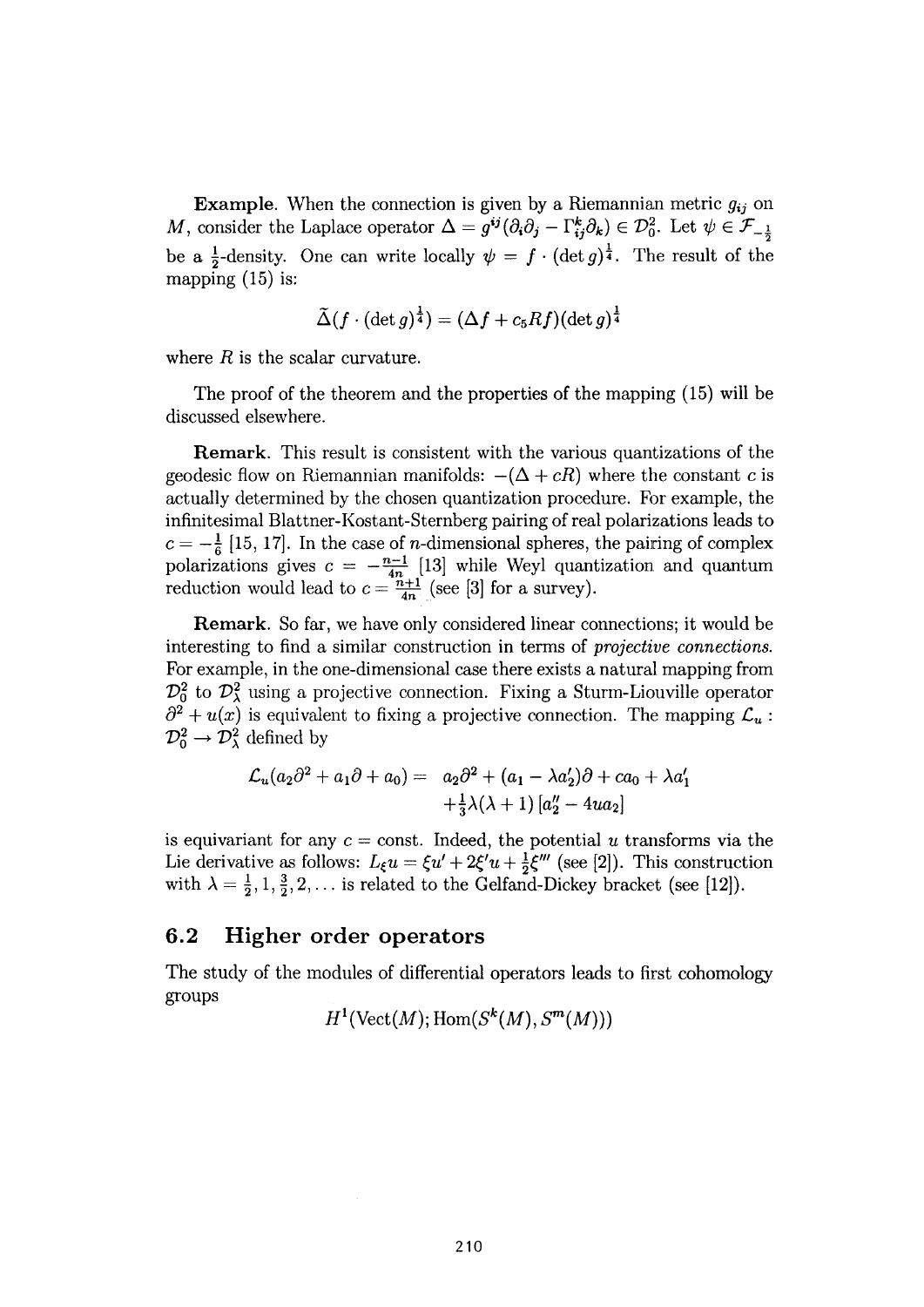**Example.** When the connection is given by a Riemannian metric  $g_{ij}$  on M, consider the Laplace operator  $\Delta = g^{ij}(\partial_i \partial_j - \Gamma^k_{ij} \partial_k) \in \mathcal{D}_0^2$ . Let  $\psi \in \mathcal{F}_{-\frac{1}{2}}$ be a  $\frac{1}{2}$ -density. One can write locally  $\psi = f \cdot (\det g)^{\frac{1}{4}}$ . The result of the mapping  $(15)$  is:

$$
\tilde{\Delta}(f\cdot(\det g)^\frac{1}{4})=(\Delta f+c_5Rf)(\det g)^\frac{1}{4}
$$

where  $R$  is the scalar curvature.

The proof of the theorem and the properties of the mapping (15) will be discussed elsewhere.

**Remark.** This result is consistent with the various quantizations of the geodesic flow on Riemannian manifolds:  $-(\Delta + cR)$  where the constant c is actually determined by the chosen quantization procedure. For example, the infinitesimal Blattner-Kostant-Sternberg pairing of real polarizations leads to  $c=-\frac{1}{6}$  [15, 17]. In the case of *n*-dimensional spheres, the pairing of complex polarizations gives  $c = - \frac{n-1}{4n}$  [13] while Weyl quantization and quantum reduction would lead to  $c = \frac{n+1}{4n}$  (see [3] for a survey).

**Remark.** So far, we have only considered linear connections; it would be interesting to find a similar construction in terms of *projective connections.*  For example, in the one-dimensional case there exists a natural mapping from  $\mathcal{D}_0^2$  to  $\mathcal{D}_\lambda^2$  using a projective connection. Fixing a Sturm-Liouville operator  $\partial^2 + u(x)$  is equivalent to fixing a projective connection. The mapping  $\mathcal{L}_u$ :  $\mathcal{D}_0^2 \rightarrow \mathcal{D}_\lambda^2$  defined by

$$
\mathcal{L}_u(a_2\partial^2 + a_1\partial + a_0) = a_2\partial^2 + (a_1 - \lambda a_2')\partial + ca_0 + \lambda a_1'
$$
  
 
$$
+ \frac{1}{3}\lambda(\lambda + 1) [a_2'' - 4ua_2]
$$

is equivariant for any  $c = \text{const.}$  Indeed, the potential  $u$  transforms via the Lie derivative as follows:  $L_{\xi}u = \xi u' + 2\xi' u + \frac{1}{2}\xi'''$  (see [2]). This construction with  $\lambda = \frac{1}{2}, 1, \frac{3}{2}, 2, \ldots$  is related to the Gelfand-Dickey bracket (see [12]).

#### **6.2 Higher order operators**

The study of the modules of differential operators leads to first cohomology groups

 $H^1$ (Vect $(M)$ ; Hom $(S^k(M), S^m(M))$ )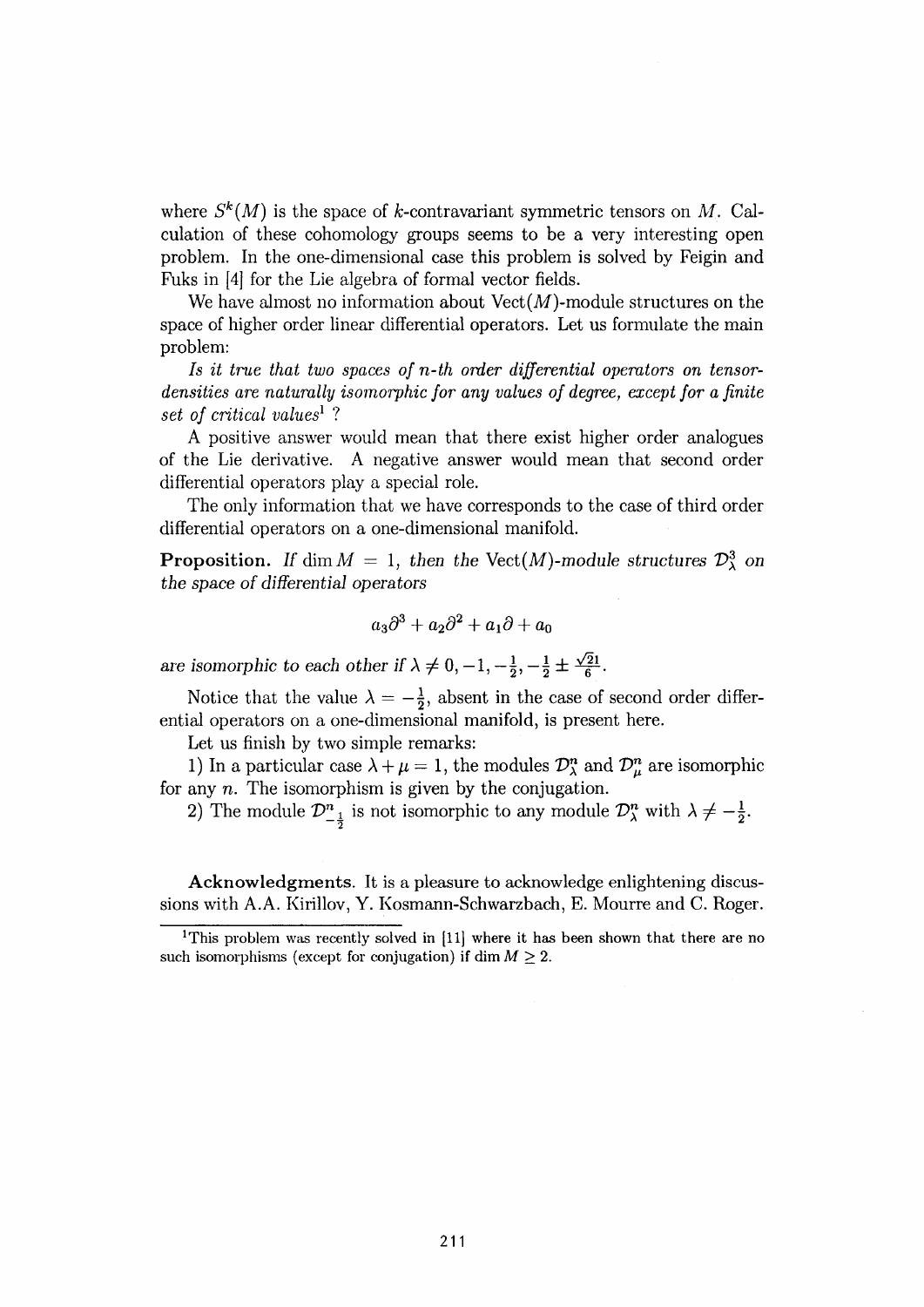where  $S^k(M)$  is the space of k-contravariant symmetric tensors on M. Calculation of these cohomology groups seems to be a very interesting open problem. In the one-dimensional case this problem is solved by Feigin and Fuks in [4] for the Lie algebra of formal vector fields.

We have almost no information about  $Vect(M)$ -module structures on the space of higher order linear differential operators. Let us formulate the main problem:

*Is it true that two spaces of n-th order differential operators on tensordensities are naturalhj isomorphic for any values of degree, except for a finite set of critical values<sup>1</sup> ?* 

A positive answer would mean that there exist higher order analogues of the Lie derivative. A negative answer would mean that second order differential operators play a special role.

The only information that we have corresponds to the case of third order differential operators on a one-dimensional manifold.

**Proposition.** *If* dim  $M = 1$ , *then the Vect(M)-module structures*  $\mathcal{D}^3$  *on the space of differential operators* 

$$
a_3\partial^3 + a_2\partial^2 + a_1\partial + a_0
$$

*are isomorphic to each other if*  $\lambda \neq 0, -1, -\frac{1}{2}, -\frac{1}{2} \pm \frac{\sqrt{2}1}{6}$ .

Notice that the value  $\lambda = -\frac{1}{2}$ , absent in the case of second order differential operators on a one-dimensional manifold, is present here.

Let us finish by two simple remarks:

1) In a particular case  $\lambda + \mu = 1$ , the modules  $\mathcal{D}_{\lambda}^{n}$  and  $\mathcal{D}_{\mu}^{n}$  are isomorphic for any n. The isomorphism is given by the conjugation.

2) The module  $\mathcal{D}_{1}^{n}$  is not isomorphic to any module  $\mathcal{D}_{\lambda}^{n}$  with  $\lambda \neq -\frac{1}{2}$ .

**Acknowledgments.** It is a pleasure to acknowledge enlightening discussions with A.A. Kirillov, Y. Kosmann-Schwarzbach, E. Mourre and C. Roger.

<sup>&</sup>lt;sup>1</sup>This problem was recently solved in  $[11]$  where it has been shown that there are no such isomorphisms (except for conjugation) if dim  $M \geq 2$ .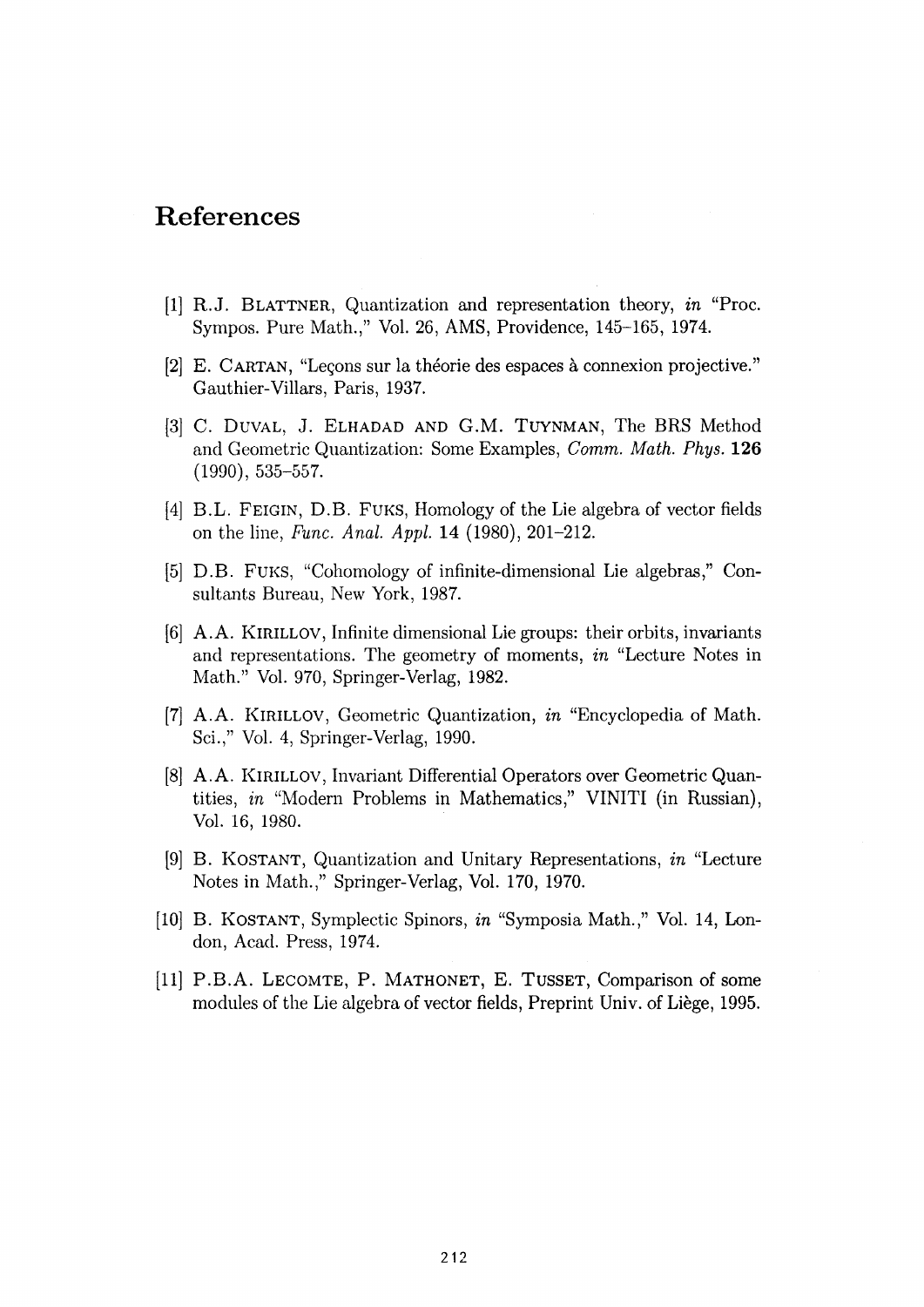## References

- [1] R.J. BLATTNER, Quantization and representation theory, *in* "Proc. Sympos. Pure Math.," Vol. 26, AMS, Providence, 145-165, 1974.
- [2] E. CARTAN , "Leçons sur la théorie des espaces à connexion projective." Gauthier-Villars, Paris, 1937.
- [3] C. DUVAL, J. ELHADAD AND G.M. TUYNMAN, The BRS Method and Geometric Quantization: Some Examples, *Comm. Math. Phys.* 126  $(1990)$ , 535-557.
- [4] B.L. FEIGIN, D.B. FUKS, Homology of the Lie algebra of vector fields on the line, *Func. Anal. Appl.* **14** (1980), 201-212.
- [5] D.B. FUKS , "Cohomology of infinite-dimensional Lie algebras," Consultants Bureau, New York, 1987.
- [6] A.A . KIRILLOV, Infinite dimensional Lie groups: their orbits, invariants and representations. The geometry of moments, *in* "Lecture Notes in Math." Vol. 970, Springer-Verlag, 1982.
- [7] A.A . KlRlLLOV, Geometric Quantization, *in* "Encyclopedia of Math. Sci.," Vol. 4, Springer-Verlag, 1990.
- [8] A.A . KlRlLLOV, Invariant Differential Operators over Geometric Quantities, *in* "Modern Problems in Mathematics," VINITI (in Russian), Vol. 16, 1980.
- [9] B. KOSTANT , Quantization and Unitary Representations, *in* "Lecture Notes in Math.," Springer-Verlag, Vol. 170, 1970.
- [10] B. KOSTANT, Symplectic Spinors, *in* "Symposia Math.," Vol. 14, London, Acad. Press, 1974.
- [11] P.B.A. LECOMTE , P. MATHONET , E. TUSSET, Comparison of some modules of the Lie algebra of vector fields, Preprint Univ. of Liège, 1995.